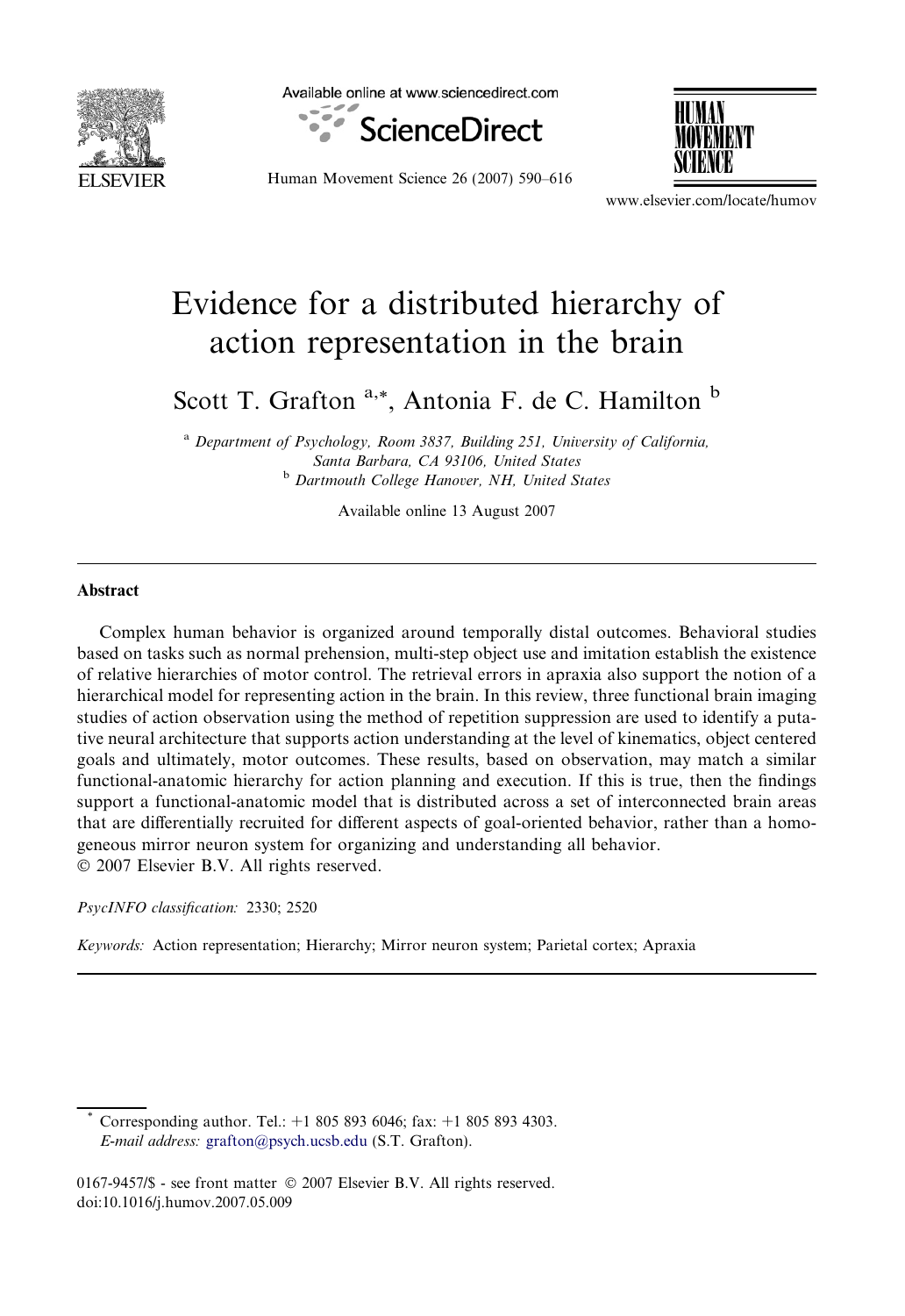

Available online at www.sciencedirect.com



Human Movement Science 26 (2007) 590–616



www.elsevier.com/locate/humov

# Evidence for a distributed hierarchy of action representation in the brain

Scott T. Grafton <sup>a,\*</sup>, Antonia F. de C. Hamilton <sup>b</sup>

<sup>a</sup> Department of Psychology, Room 3837, Building 251, University of California, Santa Barbara, CA 93106, United States **b** Dartmouth College Hanover, NH, United States

Available online 13 August 2007

#### **Abstract**

Complex human behavior is organized around temporally distal outcomes. Behavioral studies based on tasks such as normal prehension, multi-step object use and imitation establish the existence of relative hierarchies of motor control. The retrieval errors in apraxia also support the notion of a hierarchical model for representing action in the brain. In this review, three functional brain imaging studies of action observation using the method of repetition suppression are used to identify a putative neural architecture that supports action understanding at the level of kinematics, object centered goals and ultimately, motor outcomes. These results, based on observation, may match a similar functional-anatomic hierarchy for action planning and execution. If this is true, then the findings support a functional-anatomic model that is distributed across a set of interconnected brain areas that are differentially recruited for different aspects of goal-oriented behavior, rather than a homogeneous mirror neuron system for organizing and understanding all behavior.  $© 2007 Elsevier B.V. All rights reserved.$ 

PsycINFO classification: 2330; 2520

Keywords: Action representation; Hierarchy; Mirror neuron system; Parietal cortex; Apraxia

Corresponding author. Tel.:  $+1$  805 893 6046; fax:  $+1$  805 893 4303. E-mail address: [grafton@psych.ucsb.edu](mailto:grafton@psych.ucsb.edu) (S.T. Grafton).

<sup>0167-9457/\$ -</sup> see front matter © 2007 Elsevier B.V. All rights reserved. doi:10.1016/j.humov.2007.05.009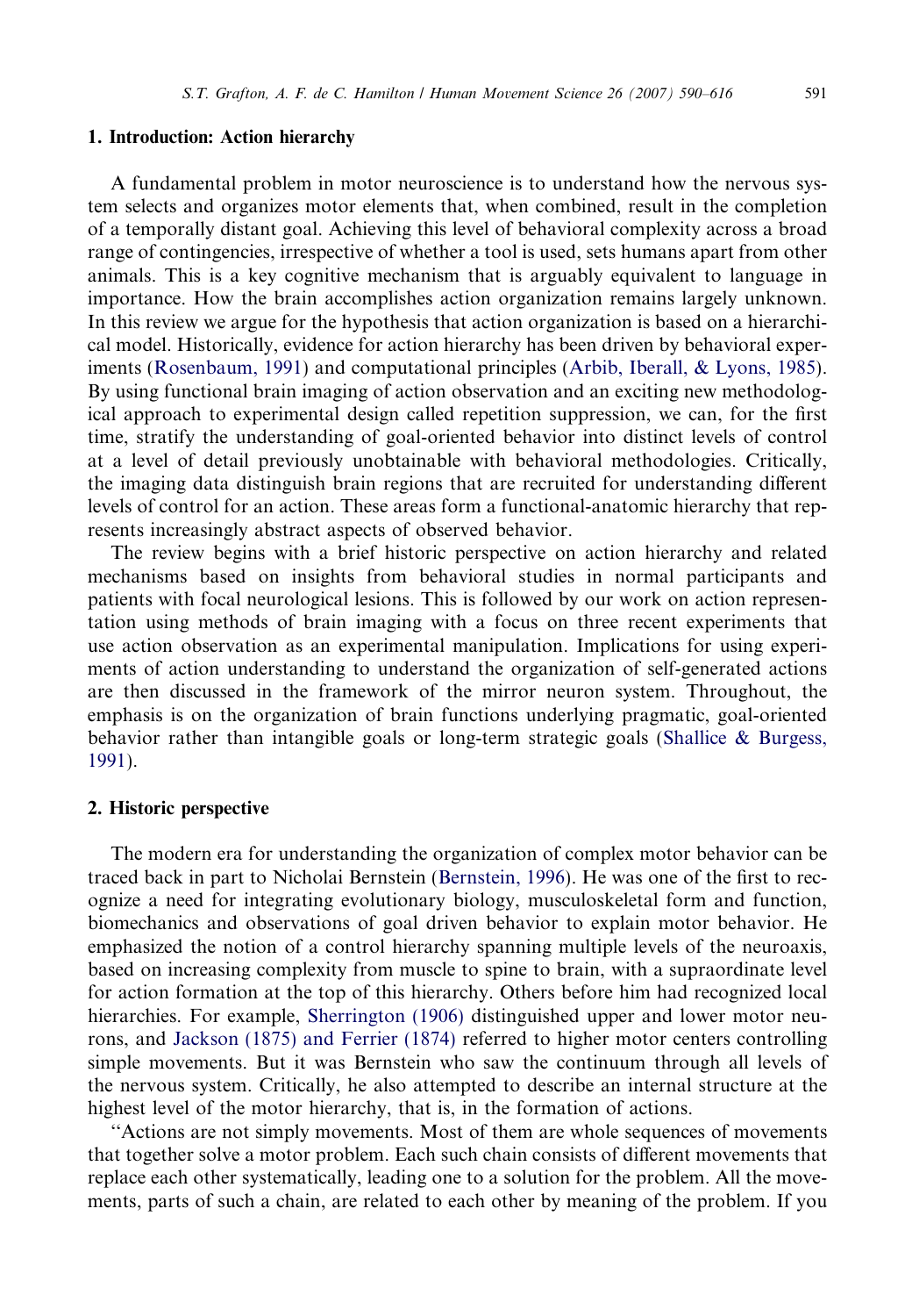#### 1. Introduction: Action hierarchy

A fundamental problem in motor neuroscience is to understand how the nervous system selects and organizes motor elements that, when combined, result in the completion of a temporally distant goal. Achieving this level of behavioral complexity across a broad range of contingencies, irrespective of whether a tool is used, sets humans apart from other animals. This is a key cognitive mechanism that is arguably equivalent to language in importance. How the brain accomplishes action organization remains largely unknown. In this review we argue for the hypothesis that action organization is based on a hierarchical model. Historically, evidence for action hierarchy has been driven by behavioral experiments ([Rosenbaum, 1991](#page-25-0)) and computational principles [\(Arbib, Iberall, & Lyons, 1985\)](#page-21-0). By using functional brain imaging of action observation and an exciting new methodological approach to experimental design called repetition suppression, we can, for the first time, stratify the understanding of goal-oriented behavior into distinct levels of control at a level of detail previously unobtainable with behavioral methodologies. Critically, the imaging data distinguish brain regions that are recruited for understanding different levels of control for an action. These areas form a functional-anatomic hierarchy that represents increasingly abstract aspects of observed behavior.

The review begins with a brief historic perspective on action hierarchy and related mechanisms based on insights from behavioral studies in normal participants and patients with focal neurological lesions. This is followed by our work on action representation using methods of brain imaging with a focus on three recent experiments that use action observation as an experimental manipulation. Implications for using experiments of action understanding to understand the organization of self-generated actions are then discussed in the framework of the mirror neuron system. Throughout, the emphasis is on the organization of brain functions underlying pragmatic, goal-oriented behavior rather than intangible goals or long-term strategic goals [\(Shallice & Burgess,](#page-26-0) [1991](#page-26-0)).

#### 2. Historic perspective

The modern era for understanding the organization of complex motor behavior can be traced back in part to Nicholai Bernstein ([Bernstein, 1996](#page-21-0)). He was one of the first to recognize a need for integrating evolutionary biology, musculoskeletal form and function, biomechanics and observations of goal driven behavior to explain motor behavior. He emphasized the notion of a control hierarchy spanning multiple levels of the neuroaxis, based on increasing complexity from muscle to spine to brain, with a supraordinate level for action formation at the top of this hierarchy. Others before him had recognized local hierarchies. For example, [Sherrington \(1906\)](#page-26-0) distinguished upper and lower motor neurons, and [Jackson \(1875\) and Ferrier \(1874\)](#page-23-0) referred to higher motor centers controlling simple movements. But it was Bernstein who saw the continuum through all levels of the nervous system. Critically, he also attempted to describe an internal structure at the highest level of the motor hierarchy, that is, in the formation of actions.

''Actions are not simply movements. Most of them are whole sequences of movements that together solve a motor problem. Each such chain consists of different movements that replace each other systematically, leading one to a solution for the problem. All the movements, parts of such a chain, are related to each other by meaning of the problem. If you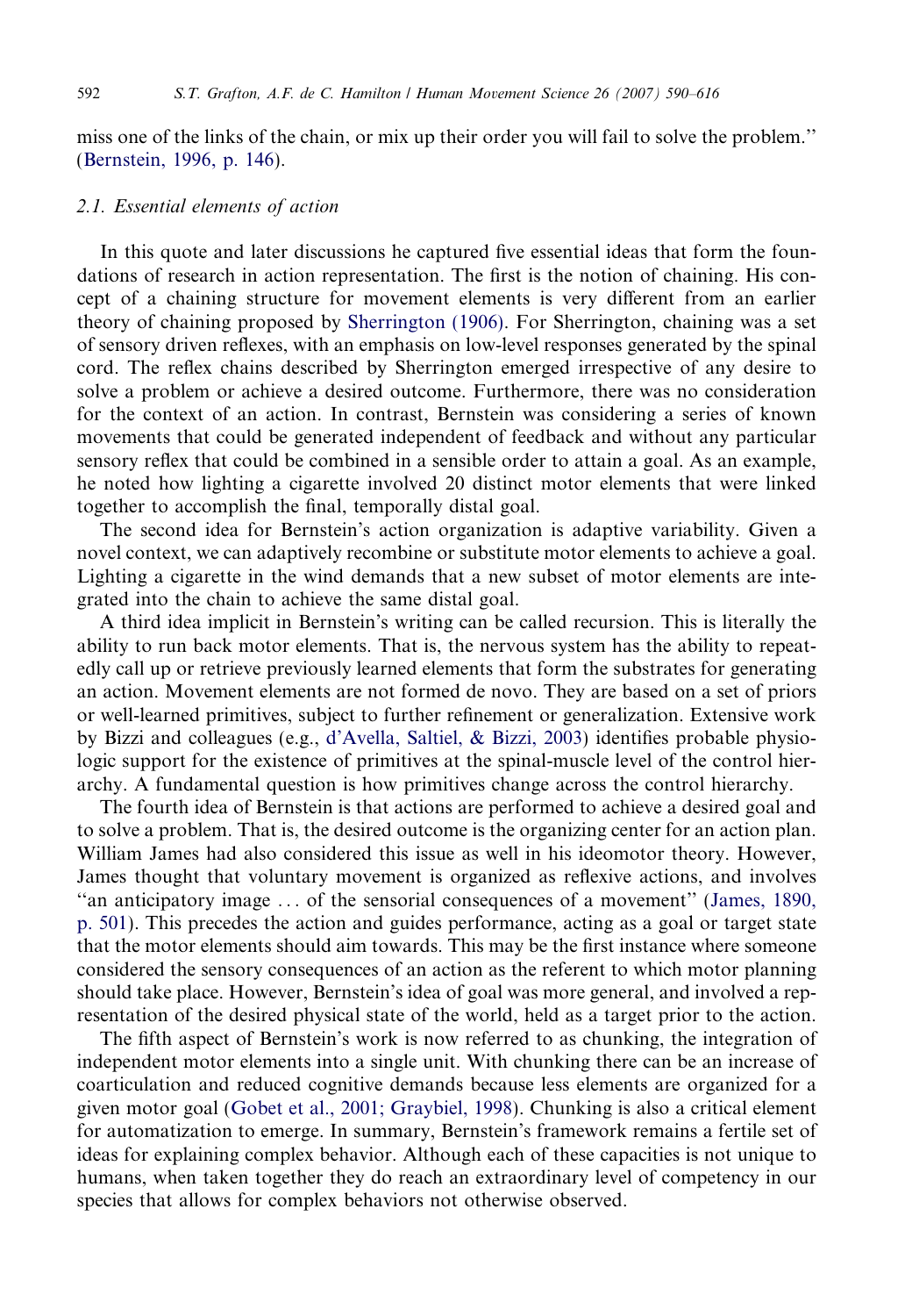miss one of the links of the chain, or mix up their order you will fail to solve the problem.'' [\(Bernstein, 1996, p. 146\)](#page-21-0).

## 2.1. Essential elements of action

In this quote and later discussions he captured five essential ideas that form the foundations of research in action representation. The first is the notion of chaining. His concept of a chaining structure for movement elements is very different from an earlier theory of chaining proposed by [Sherrington \(1906\).](#page-26-0) For Sherrington, chaining was a set of sensory driven reflexes, with an emphasis on low-level responses generated by the spinal cord. The reflex chains described by Sherrington emerged irrespective of any desire to solve a problem or achieve a desired outcome. Furthermore, there was no consideration for the context of an action. In contrast, Bernstein was considering a series of known movements that could be generated independent of feedback and without any particular sensory reflex that could be combined in a sensible order to attain a goal. As an example, he noted how lighting a cigarette involved 20 distinct motor elements that were linked together to accomplish the final, temporally distal goal.

The second idea for Bernstein's action organization is adaptive variability. Given a novel context, we can adaptively recombine or substitute motor elements to achieve a goal. Lighting a cigarette in the wind demands that a new subset of motor elements are integrated into the chain to achieve the same distal goal.

A third idea implicit in Bernstein's writing can be called recursion. This is literally the ability to run back motor elements. That is, the nervous system has the ability to repeatedly call up or retrieve previously learned elements that form the substrates for generating an action. Movement elements are not formed de novo. They are based on a set of priors or well-learned primitives, subject to further refinement or generalization. Extensive work by Bizzi and colleagues (e.g., [d'Avella, Saltiel, & Bizzi, 2003](#page-22-0)) identifies probable physiologic support for the existence of primitives at the spinal-muscle level of the control hierarchy. A fundamental question is how primitives change across the control hierarchy.

The fourth idea of Bernstein is that actions are performed to achieve a desired goal and to solve a problem. That is, the desired outcome is the organizing center for an action plan. William James had also considered this issue as well in his ideomotor theory. However, James thought that voluntary movement is organized as reflexive actions, and involves ''an anticipatory image ... of the sensorial consequences of a movement'' ([James, 1890,](#page-24-0) [p. 501](#page-24-0)). This precedes the action and guides performance, acting as a goal or target state that the motor elements should aim towards. This may be the first instance where someone considered the sensory consequences of an action as the referent to which motor planning should take place. However, Bernstein's idea of goal was more general, and involved a representation of the desired physical state of the world, held as a target prior to the action.

The fifth aspect of Bernstein's work is now referred to as chunking, the integration of independent motor elements into a single unit. With chunking there can be an increase of coarticulation and reduced cognitive demands because less elements are organized for a given motor goal [\(Gobet et al., 2001; Graybiel, 1998](#page-22-0)). Chunking is also a critical element for automatization to emerge. In summary, Bernstein's framework remains a fertile set of ideas for explaining complex behavior. Although each of these capacities is not unique to humans, when taken together they do reach an extraordinary level of competency in our species that allows for complex behaviors not otherwise observed.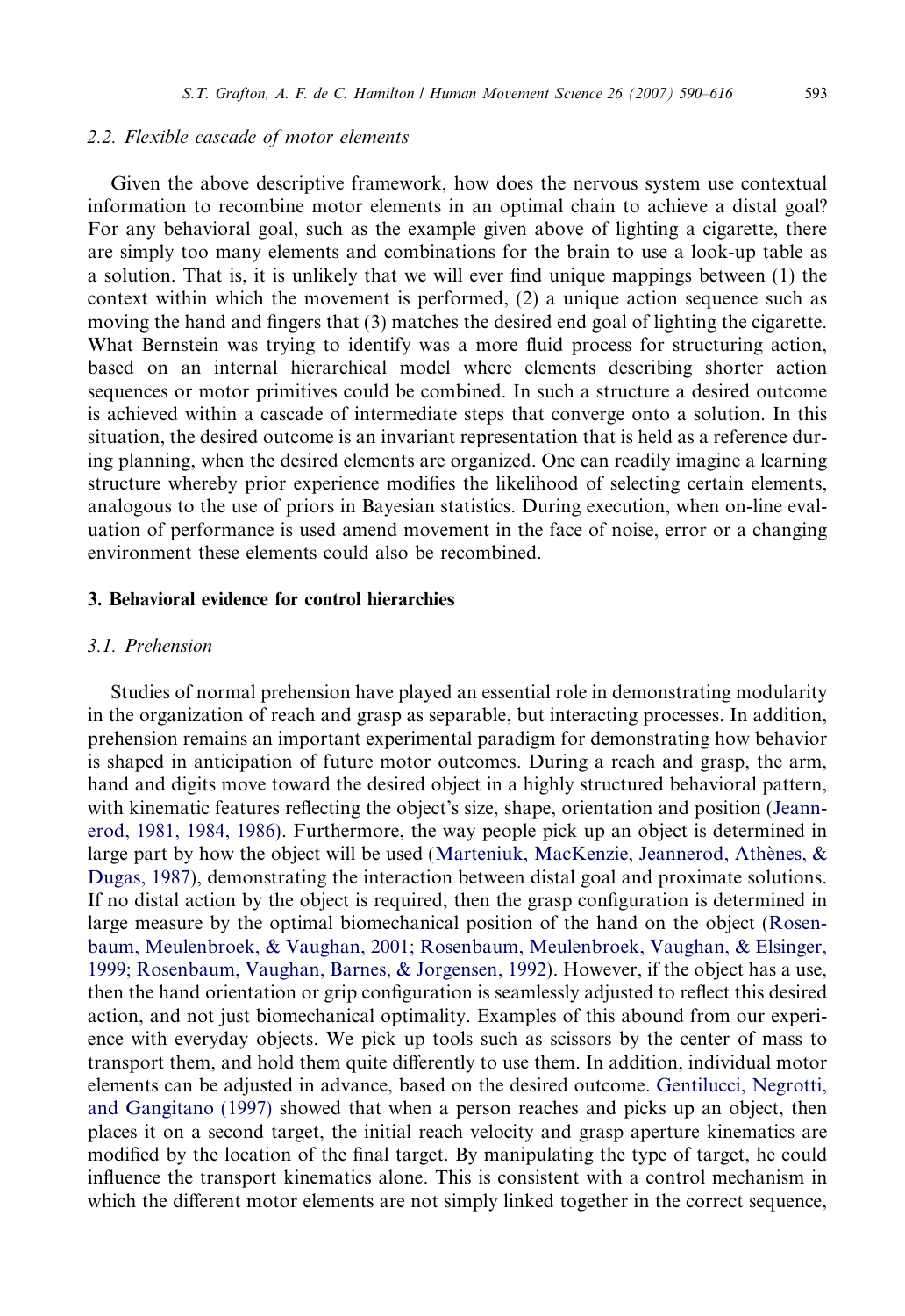#### 2.2. Flexible cascade of motor elements

Given the above descriptive framework, how does the nervous system use contextual information to recombine motor elements in an optimal chain to achieve a distal goal? For any behavioral goal, such as the example given above of lighting a cigarette, there are simply too many elements and combinations for the brain to use a look-up table as a solution. That is, it is unlikely that we will ever find unique mappings between (1) the context within which the movement is performed, (2) a unique action sequence such as moving the hand and fingers that (3) matches the desired end goal of lighting the cigarette. What Bernstein was trying to identify was a more fluid process for structuring action, based on an internal hierarchical model where elements describing shorter action sequences or motor primitives could be combined. In such a structure a desired outcome is achieved within a cascade of intermediate steps that converge onto a solution. In this situation, the desired outcome is an invariant representation that is held as a reference during planning, when the desired elements are organized. One can readily imagine a learning structure whereby prior experience modifies the likelihood of selecting certain elements, analogous to the use of priors in Bayesian statistics. During execution, when on-line evaluation of performance is used amend movement in the face of noise, error or a changing environment these elements could also be recombined.

# 3. Behavioral evidence for control hierarchies

# 3.1. Prehension

Studies of normal prehension have played an essential role in demonstrating modularity in the organization of reach and grasp as separable, but interacting processes. In addition, prehension remains an important experimental paradigm for demonstrating how behavior is shaped in anticipation of future motor outcomes. During a reach and grasp, the arm, hand and digits move toward the desired object in a highly structured behavioral pattern, with kinematic features reflecting the object's size, shape, orientation and position ([Jeann](#page-24-0)[erod, 1981, 1984, 1986](#page-24-0)). Furthermore, the way people pick up an object is determined in large part by how the object will be used (Marteniuk, MacKenzie, Jeannerod, Athènes, & [Dugas, 1987](#page-24-0)), demonstrating the interaction between distal goal and proximate solutions. If no distal action by the object is required, then the grasp configuration is determined in large measure by the optimal biomechanical position of the hand on the object ([Rosen](#page-25-0)[baum, Meulenbroek, & Vaughan, 2001; Rosenbaum, Meulenbroek, Vaughan, & Elsinger,](#page-25-0) [1999; Rosenbaum, Vaughan, Barnes, & Jorgensen, 1992\)](#page-25-0). However, if the object has a use, then the hand orientation or grip configuration is seamlessly adjusted to reflect this desired action, and not just biomechanical optimality. Examples of this abound from our experience with everyday objects. We pick up tools such as scissors by the center of mass to transport them, and hold them quite differently to use them. In addition, individual motor elements can be adjusted in advance, based on the desired outcome. [Gentilucci, Negrotti,](#page-22-0) [and Gangitano \(1997\)](#page-22-0) showed that when a person reaches and picks up an object, then places it on a second target, the initial reach velocity and grasp aperture kinematics are modified by the location of the final target. By manipulating the type of target, he could influence the transport kinematics alone. This is consistent with a control mechanism in which the different motor elements are not simply linked together in the correct sequence,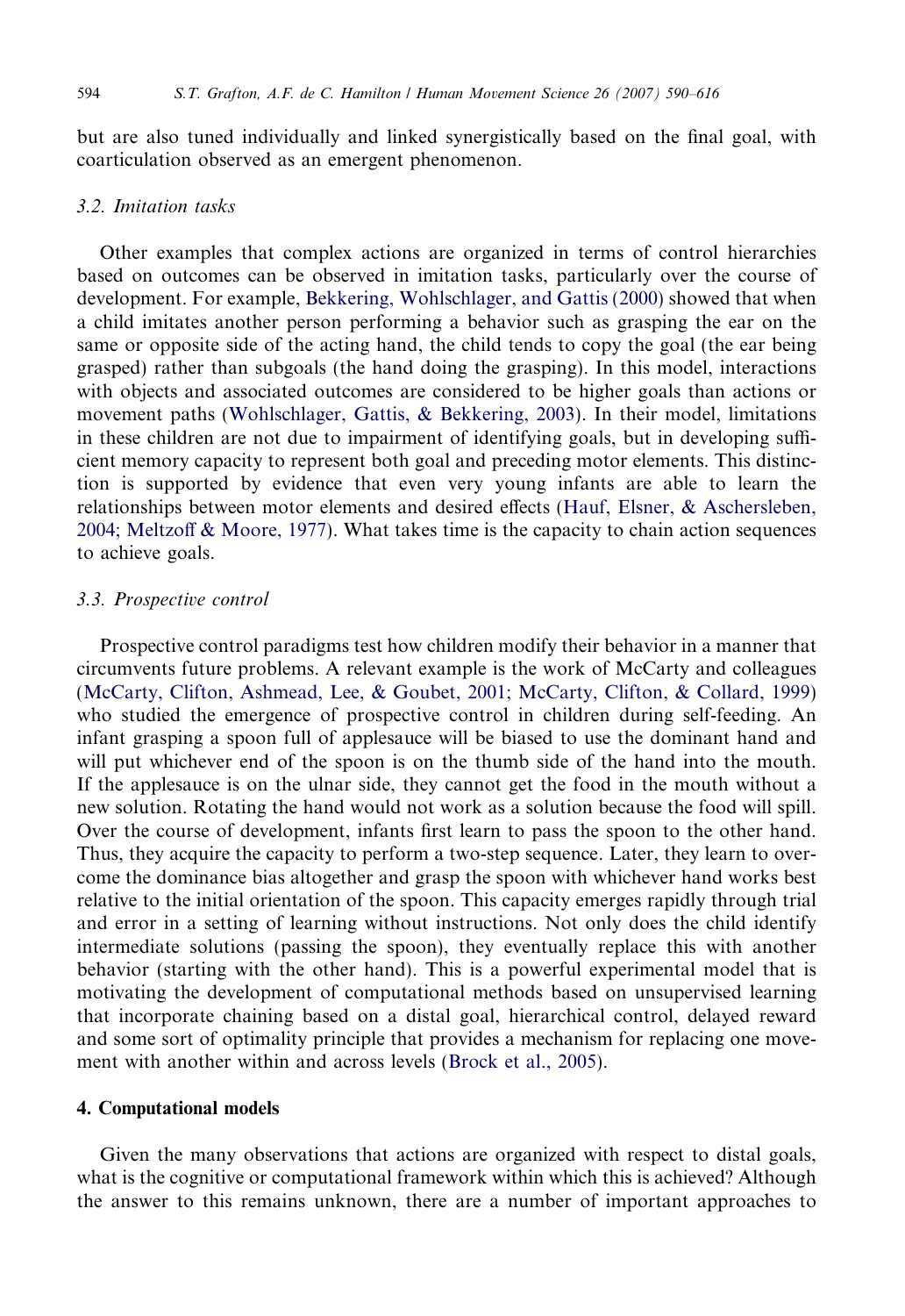but are also tuned individually and linked synergistically based on the final goal, with coarticulation observed as an emergent phenomenon.

# 3.2. Imitation tasks

Other examples that complex actions are organized in terms of control hierarchies based on outcomes can be observed in imitation tasks, particularly over the course of development. For example, [Bekkering, Wohlschlager, and Gattis \(2000\)](#page-21-0) showed that when a child imitates another person performing a behavior such as grasping the ear on the same or opposite side of the acting hand, the child tends to copy the goal (the ear being grasped) rather than subgoals (the hand doing the grasping). In this model, interactions with objects and associated outcomes are considered to be higher goals than actions or movement paths [\(Wohlschlager, Gattis, & Bekkering, 2003](#page-26-0)). In their model, limitations in these children are not due to impairment of identifying goals, but in developing sufficient memory capacity to represent both goal and preceding motor elements. This distinction is supported by evidence that even very young infants are able to learn the relationships between motor elements and desired effects [\(Hauf, Elsner, & Aschersleben,](#page-23-0) [2004; Meltzoff & Moore, 1977\)](#page-23-0). What takes time is the capacity to chain action sequences to achieve goals.

#### 3.3. Prospective control

Prospective control paradigms test how children modify their behavior in a manner that circumvents future problems. A relevant example is the work of McCarty and colleagues [\(McCarty, Clifton, Ashmead, Lee, & Goubet, 2001; McCarty, Clifton, & Collard, 1999](#page-24-0)) who studied the emergence of prospective control in children during self-feeding. An infant grasping a spoon full of applesauce will be biased to use the dominant hand and will put whichever end of the spoon is on the thumb side of the hand into the mouth. If the applesauce is on the ulnar side, they cannot get the food in the mouth without a new solution. Rotating the hand would not work as a solution because the food will spill. Over the course of development, infants first learn to pass the spoon to the other hand. Thus, they acquire the capacity to perform a two-step sequence. Later, they learn to overcome the dominance bias altogether and grasp the spoon with whichever hand works best relative to the initial orientation of the spoon. This capacity emerges rapidly through trial and error in a setting of learning without instructions. Not only does the child identify intermediate solutions (passing the spoon), they eventually replace this with another behavior (starting with the other hand). This is a powerful experimental model that is motivating the development of computational methods based on unsupervised learning that incorporate chaining based on a distal goal, hierarchical control, delayed reward and some sort of optimality principle that provides a mechanism for replacing one movement with another within and across levels ([Brock et al., 2005](#page-21-0)).

# 4. Computational models

Given the many observations that actions are organized with respect to distal goals, what is the cognitive or computational framework within which this is achieved? Although the answer to this remains unknown, there are a number of important approaches to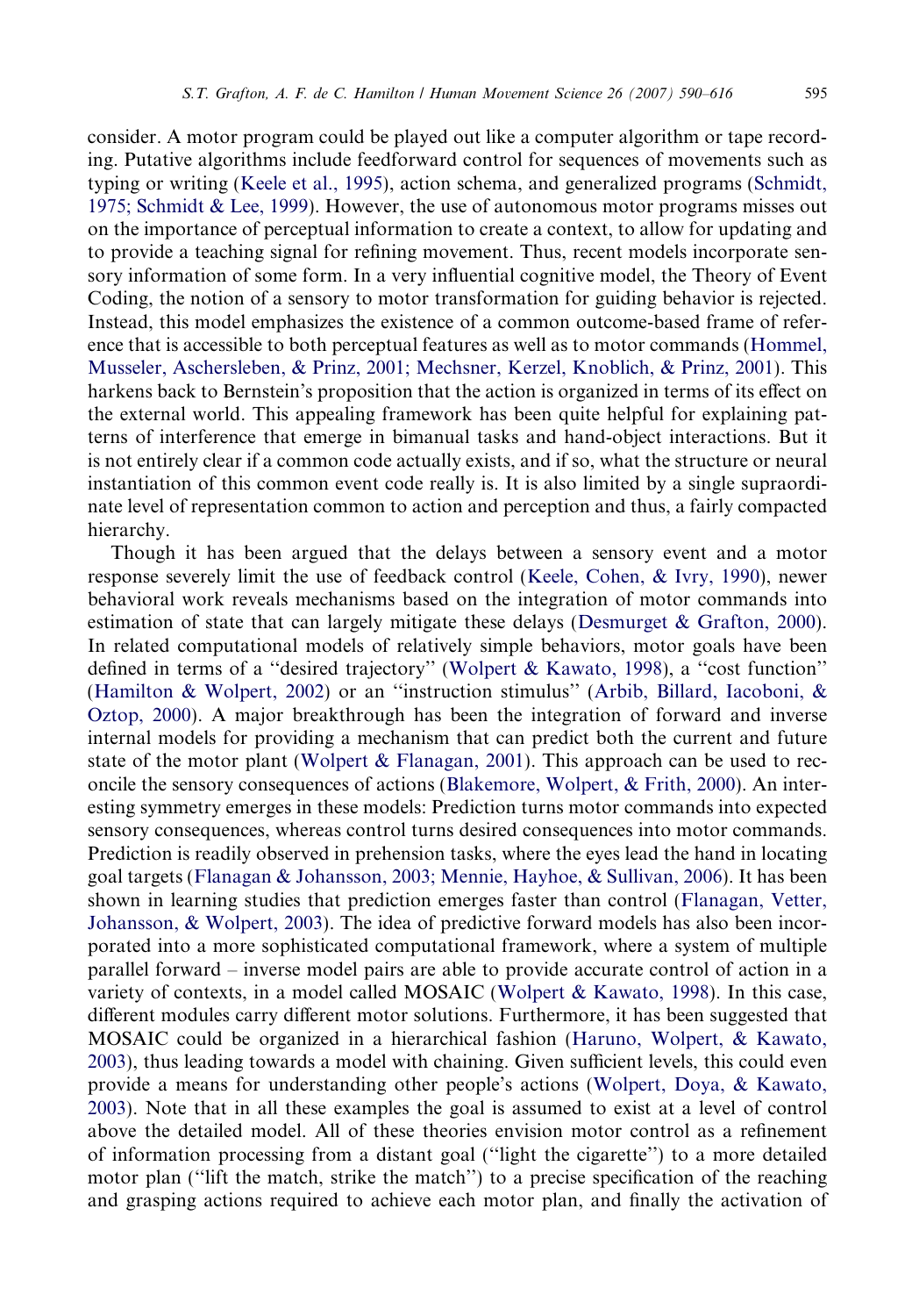consider. A motor program could be played out like a computer algorithm or tape recording. Putative algorithms include feedforward control for sequences of movements such as typing or writing [\(Keele et al., 1995\)](#page-24-0), action schema, and generalized programs [\(Schmidt,](#page-26-0) [1975; Schmidt & Lee, 1999](#page-26-0)). However, the use of autonomous motor programs misses out on the importance of perceptual information to create a context, to allow for updating and to provide a teaching signal for refining movement. Thus, recent models incorporate sensory information of some form. In a very influential cognitive model, the Theory of Event Coding, the notion of a sensory to motor transformation for guiding behavior is rejected.

Instead, this model emphasizes the existence of a common outcome-based frame of reference that is accessible to both perceptual features as well as to motor commands ([Hommel,](#page-23-0) [Musseler, Aschersleben, & Prinz, 2001; Mechsner, Kerzel, Knoblich, & Prinz, 2001](#page-23-0)). This harkens back to Bernstein's proposition that the action is organized in terms of its effect on the external world. This appealing framework has been quite helpful for explaining patterns of interference that emerge in bimanual tasks and hand-object interactions. But it is not entirely clear if a common code actually exists, and if so, what the structure or neural instantiation of this common event code really is. It is also limited by a single supraordinate level of representation common to action and perception and thus, a fairly compacted hierarchy.

Though it has been argued that the delays between a sensory event and a motor response severely limit the use of feedback control ([Keele, Cohen, & Ivry, 1990\)](#page-24-0), newer behavioral work reveals mechanisms based on the integration of motor commands into estimation of state that can largely mitigate these delays ([Desmurget & Grafton, 2000\)](#page-22-0). In related computational models of relatively simple behaviors, motor goals have been defined in terms of a ''desired trajectory'' [\(Wolpert & Kawato, 1998\)](#page-26-0), a ''cost function'' ([Hamilton & Wolpert, 2002\)](#page-23-0) or an ''instruction stimulus'' [\(Arbib, Billard, Iacoboni, &](#page-21-0) [Oztop, 2000\)](#page-21-0). A major breakthrough has been the integration of forward and inverse internal models for providing a mechanism that can predict both the current and future state of the motor plant (Wolpert  $\&$  Flanagan, 2001). This approach can be used to reconcile the sensory consequences of actions ([Blakemore, Wolpert, & Frith, 2000](#page-21-0)). An interesting symmetry emerges in these models: Prediction turns motor commands into expected sensory consequences, whereas control turns desired consequences into motor commands. Prediction is readily observed in prehension tasks, where the eyes lead the hand in locating goal targets [\(Flanagan & Johansson, 2003; Mennie, Hayhoe, & Sullivan, 2006\)](#page-22-0). It has been shown in learning studies that prediction emerges faster than control [\(Flanagan, Vetter,](#page-22-0) [Johansson, & Wolpert, 2003](#page-22-0)). The idea of predictive forward models has also been incorporated into a more sophisticated computational framework, where a system of multiple parallel forward – inverse model pairs are able to provide accurate control of action in a variety of contexts, in a model called MOSAIC [\(Wolpert & Kawato, 1998\)](#page-26-0). In this case, different modules carry different motor solutions. Furthermore, it has been suggested that MOSAIC could be organized in a hierarchical fashion ([Haruno, Wolpert, & Kawato,](#page-23-0) [2003](#page-23-0)), thus leading towards a model with chaining. Given sufficient levels, this could even provide a means for understanding other people's actions ([Wolpert, Doya, & Kawato,](#page-26-0) [2003](#page-26-0)). Note that in all these examples the goal is assumed to exist at a level of control above the detailed model. All of these theories envision motor control as a refinement of information processing from a distant goal (''light the cigarette'') to a more detailed motor plan (''lift the match, strike the match'') to a precise specification of the reaching and grasping actions required to achieve each motor plan, and finally the activation of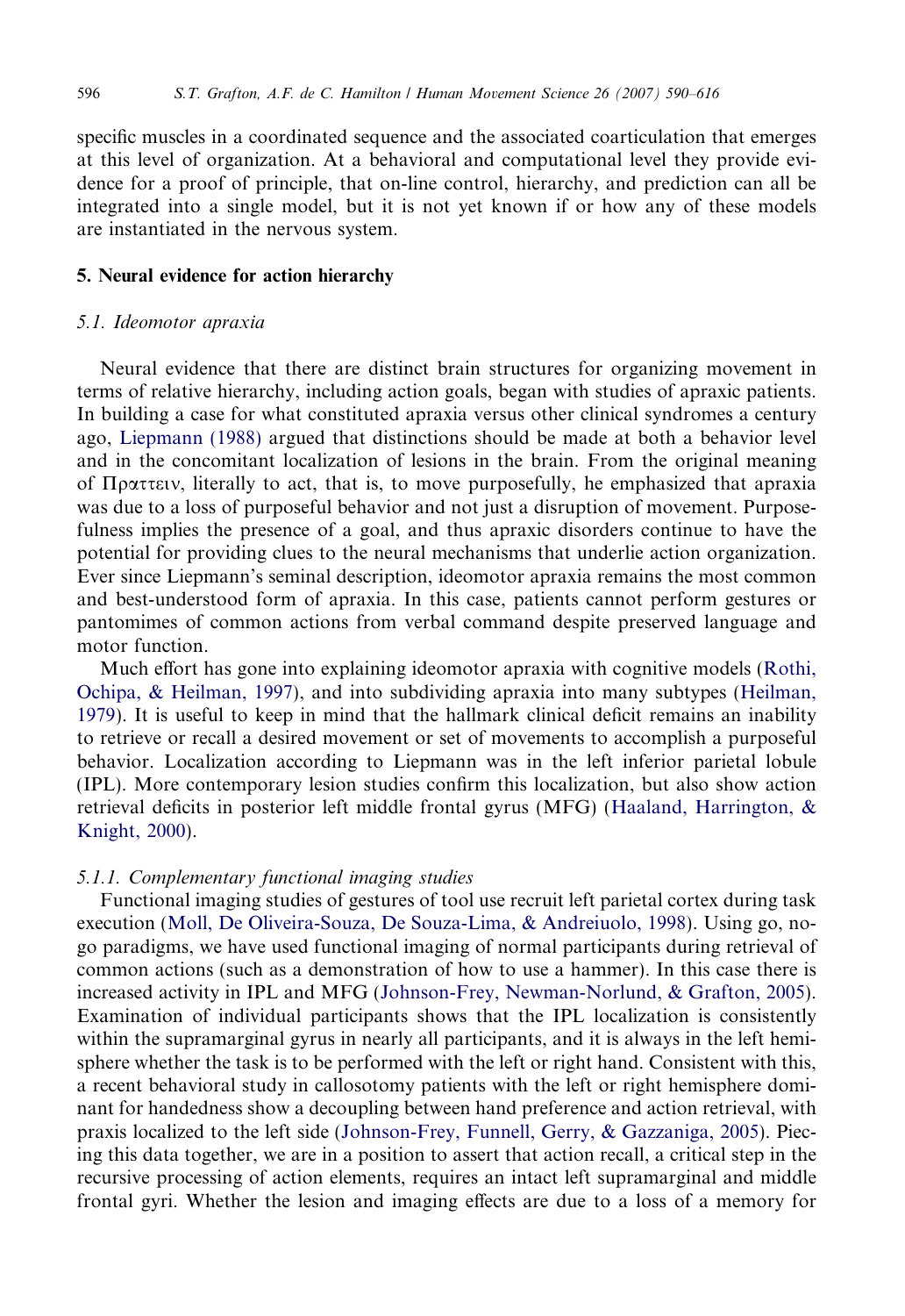specific muscles in a coordinated sequence and the associated coarticulation that emerges at this level of organization. At a behavioral and computational level they provide evidence for a proof of principle, that on-line control, hierarchy, and prediction can all be integrated into a single model, but it is not yet known if or how any of these models are instantiated in the nervous system.

#### 5. Neural evidence for action hierarchy

## 5.1. Ideomotor apraxia

Neural evidence that there are distinct brain structures for organizing movement in terms of relative hierarchy, including action goals, began with studies of apraxic patients. In building a case for what constituted apraxia versus other clinical syndromes a century ago, [Liepmann \(1988\)](#page-24-0) argued that distinctions should be made at both a behavior level and in the concomitant localization of lesions in the brain. From the original meaning of  $\Pi$ <sup>p</sup>atterally to act, that is, to move purposefully, he emphasized that apraxia was due to a loss of purposeful behavior and not just a disruption of movement. Purposefulness implies the presence of a goal, and thus apraxic disorders continue to have the potential for providing clues to the neural mechanisms that underlie action organization. Ever since Liepmann's seminal description, ideomotor apraxia remains the most common and best-understood form of apraxia. In this case, patients cannot perform gestures or pantomimes of common actions from verbal command despite preserved language and motor function.

Much effort has gone into explaining ideomotor apraxia with cognitive models ([Rothi,](#page-25-0) [Ochipa, & Heilman, 1997](#page-25-0)), and into subdividing apraxia into many subtypes ([Heilman,](#page-23-0) [1979\)](#page-23-0). It is useful to keep in mind that the hallmark clinical deficit remains an inability to retrieve or recall a desired movement or set of movements to accomplish a purposeful behavior. Localization according to Liepmann was in the left inferior parietal lobule (IPL). More contemporary lesion studies confirm this localization, but also show action retrieval deficits in posterior left middle frontal gyrus (MFG) [\(Haaland, Harrington, &](#page-23-0) [Knight, 2000](#page-23-0)).

# 5.1.1. Complementary functional imaging studies

Functional imaging studies of gestures of tool use recruit left parietal cortex during task execution ([Moll, De Oliveira-Souza, De Souza-Lima, & Andreiuolo, 1998\)](#page-25-0). Using go, nogo paradigms, we have used functional imaging of normal participants during retrieval of common actions (such as a demonstration of how to use a hammer). In this case there is increased activity in IPL and MFG ([Johnson-Frey, Newman-Norlund, & Grafton, 2005](#page-24-0)). Examination of individual participants shows that the IPL localization is consistently within the supramarginal gyrus in nearly all participants, and it is always in the left hemisphere whether the task is to be performed with the left or right hand. Consistent with this, a recent behavioral study in callosotomy patients with the left or right hemisphere dominant for handedness show a decoupling between hand preference and action retrieval, with praxis localized to the left side ([Johnson-Frey, Funnell, Gerry, & Gazzaniga, 2005](#page-24-0)). Piecing this data together, we are in a position to assert that action recall, a critical step in the recursive processing of action elements, requires an intact left supramarginal and middle frontal gyri. Whether the lesion and imaging effects are due to a loss of a memory for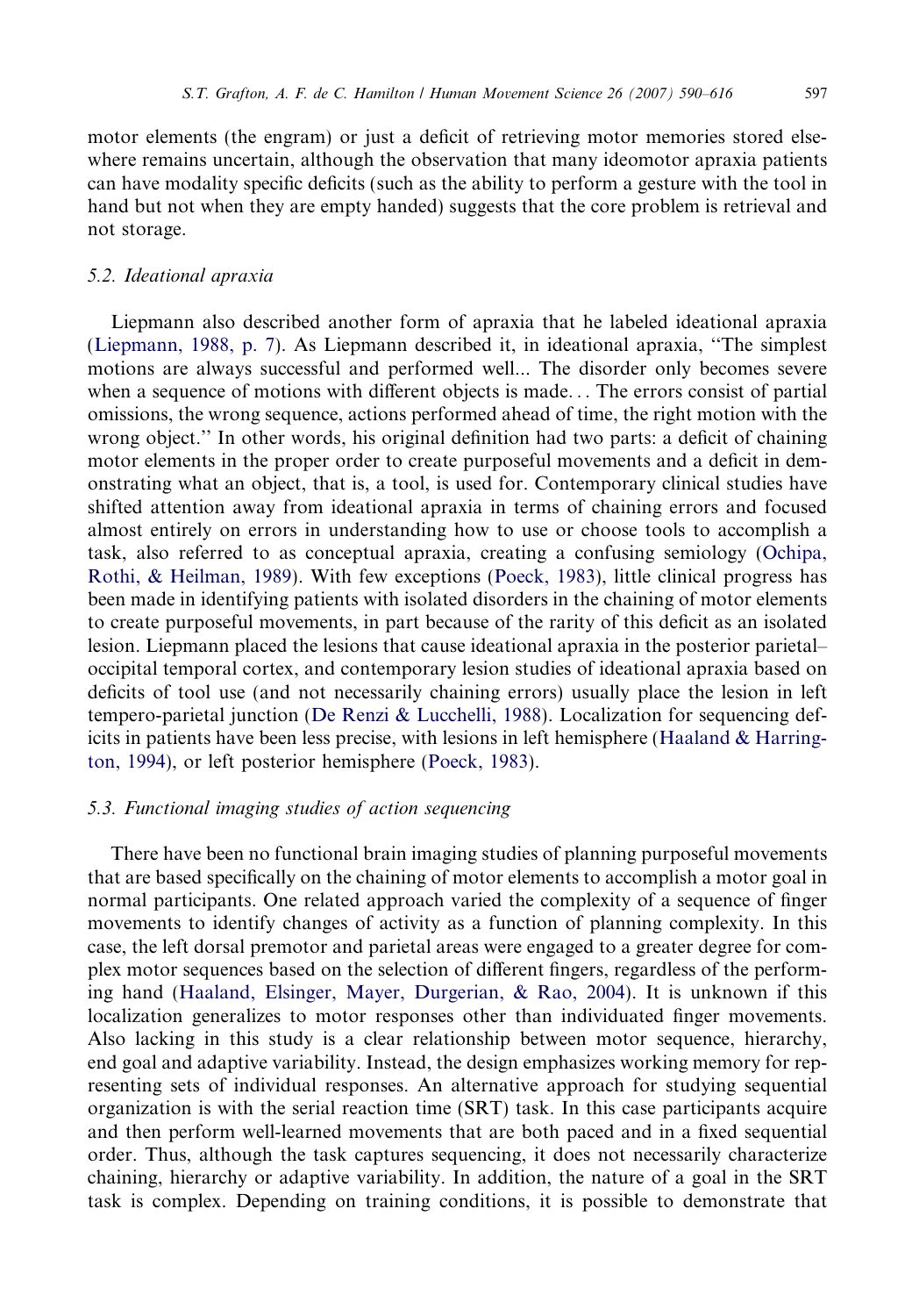motor elements (the engram) or just a deficit of retrieving motor memories stored elsewhere remains uncertain, although the observation that many ideomotor apraxia patients can have modality specific deficits (such as the ability to perform a gesture with the tool in hand but not when they are empty handed) suggests that the core problem is retrieval and not storage.

#### 5.2. Ideational apraxia

Liepmann also described another form of apraxia that he labeled ideational apraxia ([Liepmann, 1988, p. 7](#page-24-0)). As Liepmann described it, in ideational apraxia, ''The simplest motions are always successful and performed well... The disorder only becomes severe when a sequence of motions with different objects is made... The errors consist of partial omissions, the wrong sequence, actions performed ahead of time, the right motion with the wrong object.'' In other words, his original definition had two parts: a deficit of chaining motor elements in the proper order to create purposeful movements and a deficit in demonstrating what an object, that is, a tool, is used for. Contemporary clinical studies have shifted attention away from ideational apraxia in terms of chaining errors and focused almost entirely on errors in understanding how to use or choose tools to accomplish a task, also referred to as conceptual apraxia, creating a confusing semiology [\(Ochipa,](#page-25-0) [Rothi, & Heilman, 1989\)](#page-25-0). With few exceptions ([Poeck, 1983\)](#page-25-0), little clinical progress has been made in identifying patients with isolated disorders in the chaining of motor elements to create purposeful movements, in part because of the rarity of this deficit as an isolated lesion. Liepmann placed the lesions that cause ideational apraxia in the posterior parietal– occipital temporal cortex, and contemporary lesion studies of ideational apraxia based on deficits of tool use (and not necessarily chaining errors) usually place the lesion in left tempero-parietal junction [\(De Renzi & Lucchelli, 1988](#page-22-0)). Localization for sequencing deficits in patients have been less precise, with lesions in left hemisphere (Haaland  $\&$  Harring[ton, 1994\)](#page-23-0), or left posterior hemisphere [\(Poeck, 1983](#page-25-0)).

# 5.3. Functional imaging studies of action sequencing

There have been no functional brain imaging studies of planning purposeful movements that are based specifically on the chaining of motor elements to accomplish a motor goal in normal participants. One related approach varied the complexity of a sequence of finger movements to identify changes of activity as a function of planning complexity. In this case, the left dorsal premotor and parietal areas were engaged to a greater degree for complex motor sequences based on the selection of different fingers, regardless of the performing hand ([Haaland, Elsinger, Mayer, Durgerian, & Rao, 2004](#page-23-0)). It is unknown if this localization generalizes to motor responses other than individuated finger movements. Also lacking in this study is a clear relationship between motor sequence, hierarchy, end goal and adaptive variability. Instead, the design emphasizes working memory for representing sets of individual responses. An alternative approach for studying sequential organization is with the serial reaction time (SRT) task. In this case participants acquire and then perform well-learned movements that are both paced and in a fixed sequential order. Thus, although the task captures sequencing, it does not necessarily characterize chaining, hierarchy or adaptive variability. In addition, the nature of a goal in the SRT task is complex. Depending on training conditions, it is possible to demonstrate that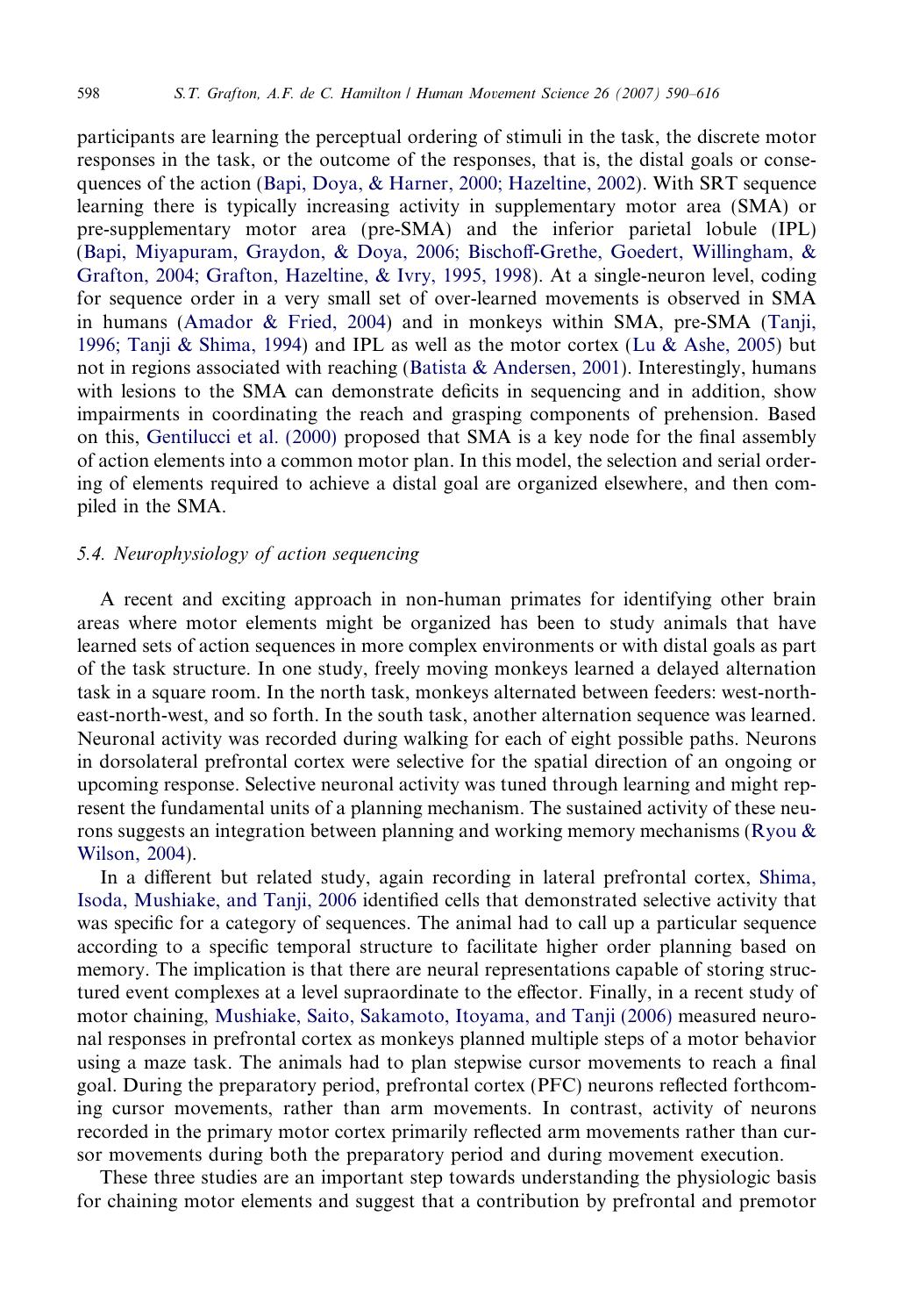participants are learning the perceptual ordering of stimuli in the task, the discrete motor responses in the task, or the outcome of the responses, that is, the distal goals or consequences of the action [\(Bapi, Doya, & Harner, 2000; Hazeltine, 2002\)](#page-21-0). With SRT sequence learning there is typically increasing activity in supplementary motor area (SMA) or pre-supplementary motor area (pre-SMA) and the inferior parietal lobule (IPL) [\(Bapi, Miyapuram, Graydon, & Doya, 2006; Bischoff-Grethe, Goedert, Willingham, &](#page-21-0) [Grafton, 2004; Grafton, Hazeltine, & Ivry, 1995, 1998](#page-21-0)). At a single-neuron level, coding for sequence order in a very small set of over-learned movements is observed in SMA in humans [\(Amador & Fried, 2004\)](#page-21-0) and in monkeys within SMA, pre-SMA [\(Tanji,](#page-26-0) [1996; Tanji & Shima, 1994](#page-26-0)) and IPL as well as the motor cortex ([Lu & Ashe, 2005](#page-24-0)) but not in regions associated with reaching ([Batista & Andersen, 2001](#page-21-0)). Interestingly, humans with lesions to the SMA can demonstrate deficits in sequencing and in addition, show impairments in coordinating the reach and grasping components of prehension. Based on this, [Gentilucci et al. \(2000\)](#page-22-0) proposed that SMA is a key node for the final assembly of action elements into a common motor plan. In this model, the selection and serial ordering of elements required to achieve a distal goal are organized elsewhere, and then compiled in the SMA.

# 5.4. Neurophysiology of action sequencing

A recent and exciting approach in non-human primates for identifying other brain areas where motor elements might be organized has been to study animals that have learned sets of action sequences in more complex environments or with distal goals as part of the task structure. In one study, freely moving monkeys learned a delayed alternation task in a square room. In the north task, monkeys alternated between feeders: west-northeast-north-west, and so forth. In the south task, another alternation sequence was learned. Neuronal activity was recorded during walking for each of eight possible paths. Neurons in dorsolateral prefrontal cortex were selective for the spatial direction of an ongoing or upcoming response. Selective neuronal activity was tuned through learning and might represent the fundamental units of a planning mechanism. The sustained activity of these neurons suggests an integration between planning and working memory mechanisms (Ryou  $\&$ [Wilson, 2004\)](#page-25-0).

In a different but related study, again recording in lateral prefrontal cortex, [Shima,](#page-26-0) [Isoda, Mushiake, and Tanji, 2006](#page-26-0) identified cells that demonstrated selective activity that was specific for a category of sequences. The animal had to call up a particular sequence according to a specific temporal structure to facilitate higher order planning based on memory. The implication is that there are neural representations capable of storing structured event complexes at a level supraordinate to the effector. Finally, in a recent study of motor chaining, [Mushiake, Saito, Sakamoto, Itoyama, and Tanji \(2006\)](#page-25-0) measured neuronal responses in prefrontal cortex as monkeys planned multiple steps of a motor behavior using a maze task. The animals had to plan stepwise cursor movements to reach a final goal. During the preparatory period, prefrontal cortex (PFC) neurons reflected forthcoming cursor movements, rather than arm movements. In contrast, activity of neurons recorded in the primary motor cortex primarily reflected arm movements rather than cursor movements during both the preparatory period and during movement execution.

These three studies are an important step towards understanding the physiologic basis for chaining motor elements and suggest that a contribution by prefrontal and premotor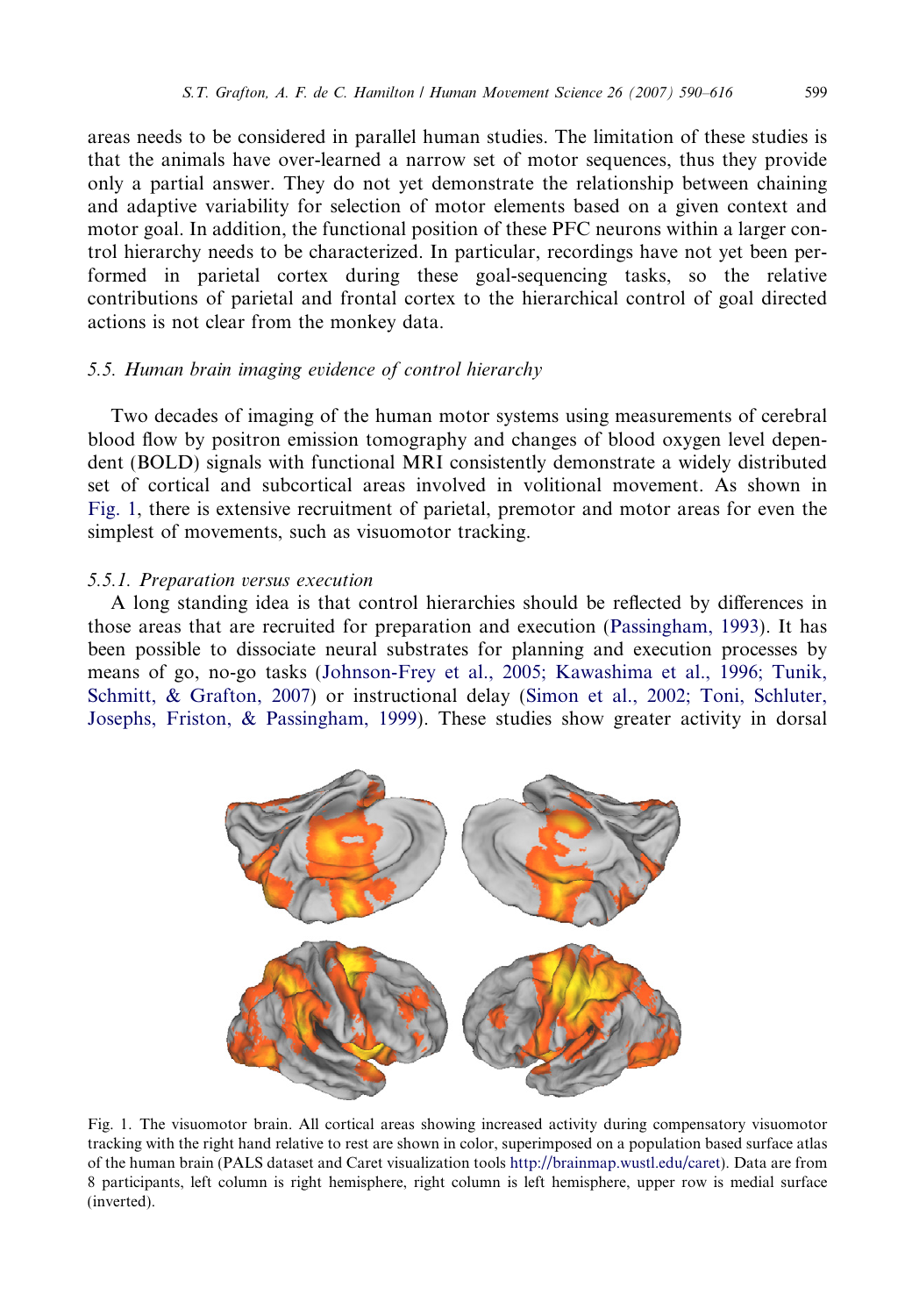areas needs to be considered in parallel human studies. The limitation of these studies is that the animals have over-learned a narrow set of motor sequences, thus they provide only a partial answer. They do not yet demonstrate the relationship between chaining and adaptive variability for selection of motor elements based on a given context and motor goal. In addition, the functional position of these PFC neurons within a larger control hierarchy needs to be characterized. In particular, recordings have not yet been performed in parietal cortex during these goal-sequencing tasks, so the relative contributions of parietal and frontal cortex to the hierarchical control of goal directed actions is not clear from the monkey data.

# 5.5. Human brain imaging evidence of control hierarchy

Two decades of imaging of the human motor systems using measurements of cerebral blood flow by positron emission tomography and changes of blood oxygen level dependent (BOLD) signals with functional MRI consistently demonstrate a widely distributed set of cortical and subcortical areas involved in volitional movement. As shown in Fig. 1, there is extensive recruitment of parietal, premotor and motor areas for even the simplest of movements, such as visuomotor tracking.

## 5.5.1. Preparation versus execution

A long standing idea is that control hierarchies should be reflected by differences in those areas that are recruited for preparation and execution ([Passingham, 1993\)](#page-25-0). It has been possible to dissociate neural substrates for planning and execution processes by means of go, no-go tasks ([Johnson-Frey et al., 2005; Kawashima et al., 1996; Tunik,](#page-24-0) [Schmitt, & Grafton, 2007](#page-24-0)) or instructional delay [\(Simon et al., 2002; Toni, Schluter,](#page-26-0) [Josephs, Friston, & Passingham, 1999\)](#page-26-0). These studies show greater activity in dorsal



Fig. 1. The visuomotor brain. All cortical areas showing increased activity during compensatory visuomotor tracking with the right hand relative to rest are shown in color, superimposed on a population based surface atlas of the human brain (PALS dataset and Caret visualization tools [http://brainmap.wustl.edu/caret\)](http://brainmap.wustl.edu/caret). Data are from 8 participants, left column is right hemisphere, right column is left hemisphere, upper row is medial surface (inverted).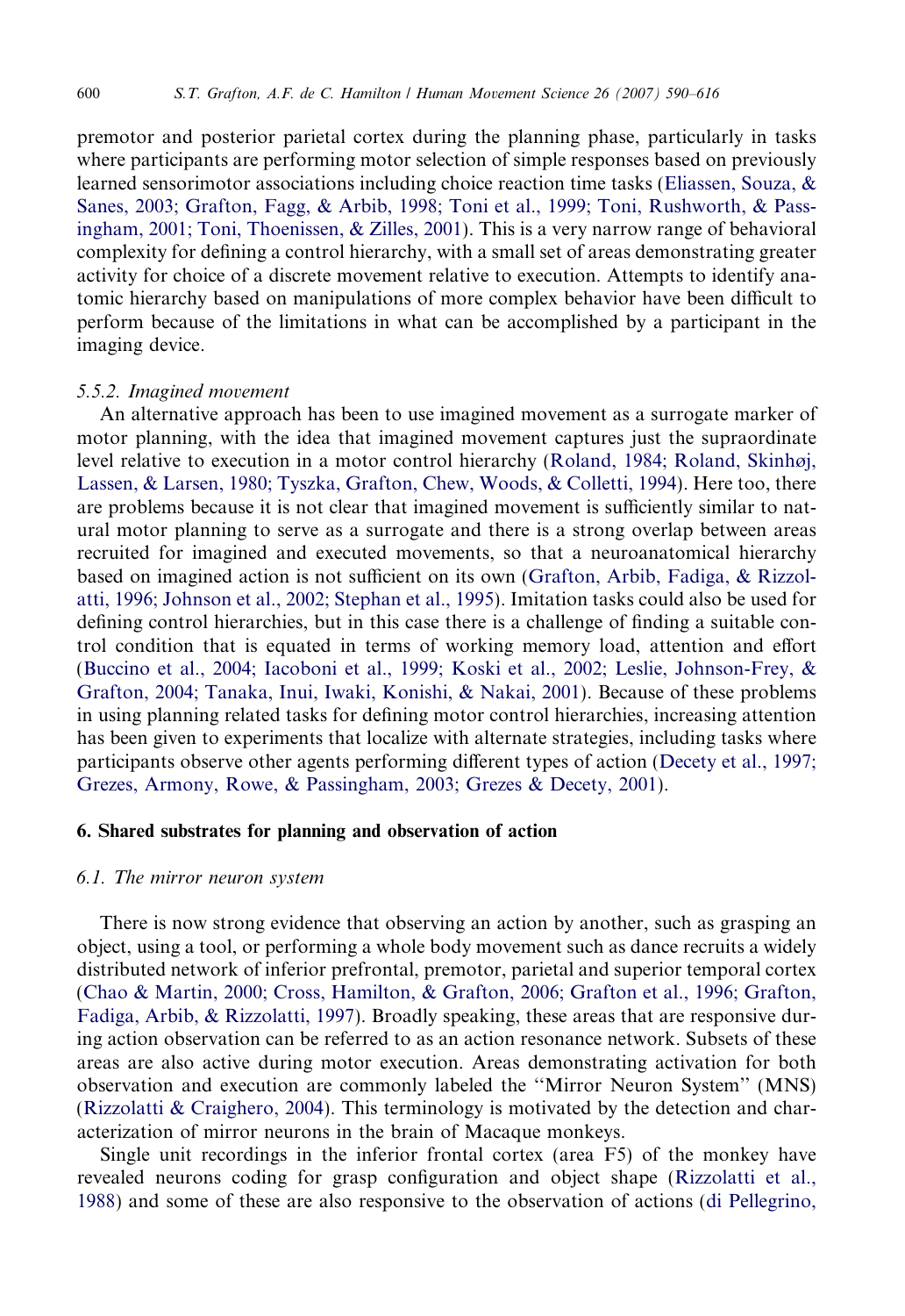premotor and posterior parietal cortex during the planning phase, particularly in tasks where participants are performing motor selection of simple responses based on previously learned sensorimotor associations including choice reaction time tasks ([Eliassen, Souza, &](#page-22-0) [Sanes, 2003; Grafton, Fagg, & Arbib, 1998; Toni et al., 1999; Toni, Rushworth, & Pass](#page-22-0)[ingham, 2001; Toni, Thoenissen, & Zilles, 2001](#page-22-0)). This is a very narrow range of behavioral complexity for defining a control hierarchy, with a small set of areas demonstrating greater activity for choice of a discrete movement relative to execution. Attempts to identify anatomic hierarchy based on manipulations of more complex behavior have been difficult to perform because of the limitations in what can be accomplished by a participant in the imaging device.

## 5.5.2. Imagined movement

An alternative approach has been to use imagined movement as a surrogate marker of motor planning, with the idea that imagined movement captures just the supraordinate level relative to execution in a motor control hierarchy [\(Roland, 1984; Roland, Skinhøj,](#page-25-0) [Lassen, & Larsen, 1980; Tyszka, Grafton, Chew, Woods, & Colletti, 1994](#page-25-0)). Here too, there are problems because it is not clear that imagined movement is sufficiently similar to natural motor planning to serve as a surrogate and there is a strong overlap between areas recruited for imagined and executed movements, so that a neuroanatomical hierarchy based on imagined action is not sufficient on its own [\(Grafton, Arbib, Fadiga, & Rizzol](#page-22-0)[atti, 1996; Johnson et al., 2002; Stephan et al., 1995\)](#page-22-0). Imitation tasks could also be used for defining control hierarchies, but in this case there is a challenge of finding a suitable control condition that is equated in terms of working memory load, attention and effort [\(Buccino et al., 2004; Iacoboni et al., 1999; Koski et al., 2002; Leslie, Johnson-Frey, &](#page-21-0) [Grafton, 2004; Tanaka, Inui, Iwaki, Konishi, & Nakai, 2001](#page-21-0)). Because of these problems in using planning related tasks for defining motor control hierarchies, increasing attention has been given to experiments that localize with alternate strategies, including tasks where participants observe other agents performing different types of action ([Decety et al., 1997;](#page-22-0) [Grezes, Armony, Rowe, & Passingham, 2003; Grezes & Decety, 2001\)](#page-22-0).

# 6. Shared substrates for planning and observation of action

# 6.1. The mirror neuron system

There is now strong evidence that observing an action by another, such as grasping an object, using a tool, or performing a whole body movement such as dance recruits a widely distributed network of inferior prefrontal, premotor, parietal and superior temporal cortex [\(Chao & Martin, 2000; Cross, Hamilton, & Grafton, 2006; Grafton et al., 1996; Grafton,](#page-22-0) [Fadiga, Arbib, & Rizzolatti, 1997](#page-22-0)). Broadly speaking, these areas that are responsive during action observation can be referred to as an action resonance network. Subsets of these areas are also active during motor execution. Areas demonstrating activation for both observation and execution are commonly labeled the ''Mirror Neuron System'' (MNS) (Rizzolatti  $&$  Craighero, 2004). This terminology is motivated by the detection and characterization of mirror neurons in the brain of Macaque monkeys.

Single unit recordings in the inferior frontal cortex (area F5) of the monkey have revealed neurons coding for grasp configuration and object shape ([Rizzolatti et al.,](#page-25-0) [1988\)](#page-25-0) and some of these are also responsive to the observation of actions [\(di Pellegrino,](#page-22-0)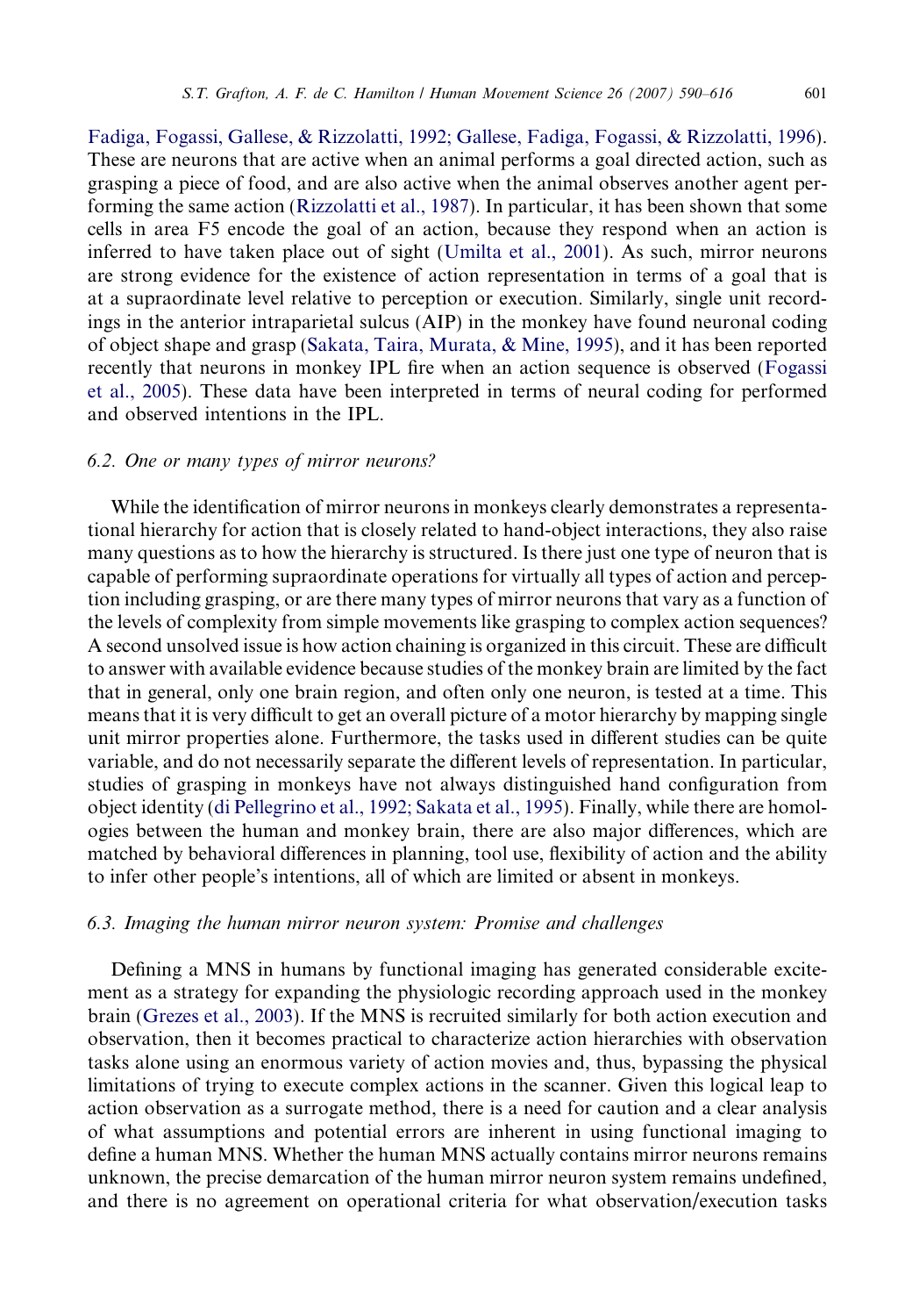[Fadiga, Fogassi, Gallese, & Rizzolatti, 1992; Gallese, Fadiga, Fogassi, & Rizzolatti, 1996\)](#page-22-0). These are neurons that are active when an animal performs a goal directed action, such as grasping a piece of food, and are also active when the animal observes another agent performing the same action [\(Rizzolatti et al., 1987\)](#page-25-0). In particular, it has been shown that some cells in area F5 encode the goal of an action, because they respond when an action is inferred to have taken place out of sight ([Umilta et al., 2001\)](#page-26-0). As such, mirror neurons are strong evidence for the existence of action representation in terms of a goal that is at a supraordinate level relative to perception or execution. Similarly, single unit recordings in the anterior intraparietal sulcus (AIP) in the monkey have found neuronal coding of object shape and grasp ([Sakata, Taira, Murata, & Mine, 1995](#page-25-0)), and it has been reported recently that neurons in monkey IPL fire when an action sequence is observed [\(Fogassi](#page-22-0) [et al., 2005\)](#page-22-0). These data have been interpreted in terms of neural coding for performed and observed intentions in the IPL.

## 6.2. One or many types of mirror neurons?

While the identification of mirror neurons in monkeys clearly demonstrates a representational hierarchy for action that is closely related to hand-object interactions, they also raise many questions as to how the hierarchy is structured. Is there just one type of neuron that is capable of performing supraordinate operations for virtually all types of action and perception including grasping, or are there many types of mirror neurons that vary as a function of the levels of complexity from simple movements like grasping to complex action sequences? A second unsolved issue is how action chaining is organized in this circuit. These are difficult to answer with available evidence because studies of the monkey brain are limited by the fact that in general, only one brain region, and often only one neuron, is tested at a time. This means that it is very difficult to get an overall picture of a motor hierarchy by mapping single unit mirror properties alone. Furthermore, the tasks used in different studies can be quite variable, and do not necessarily separate the different levels of representation. In particular, studies of grasping in monkeys have not always distinguished hand configuration from object identity ([di Pellegrino et al., 1992; Sakata et al., 1995](#page-22-0)). Finally, while there are homologies between the human and monkey brain, there are also major differences, which are matched by behavioral differences in planning, tool use, flexibility of action and the ability to infer other people's intentions, all of which are limited or absent in monkeys.

#### 6.3. Imaging the human mirror neuron system: Promise and challenges

Defining a MNS in humans by functional imaging has generated considerable excitement as a strategy for expanding the physiologic recording approach used in the monkey brain ([Grezes et al., 2003\)](#page-23-0). If the MNS is recruited similarly for both action execution and observation, then it becomes practical to characterize action hierarchies with observation tasks alone using an enormous variety of action movies and, thus, bypassing the physical limitations of trying to execute complex actions in the scanner. Given this logical leap to action observation as a surrogate method, there is a need for caution and a clear analysis of what assumptions and potential errors are inherent in using functional imaging to define a human MNS. Whether the human MNS actually contains mirror neurons remains unknown, the precise demarcation of the human mirror neuron system remains undefined, and there is no agreement on operational criteria for what observation/execution tasks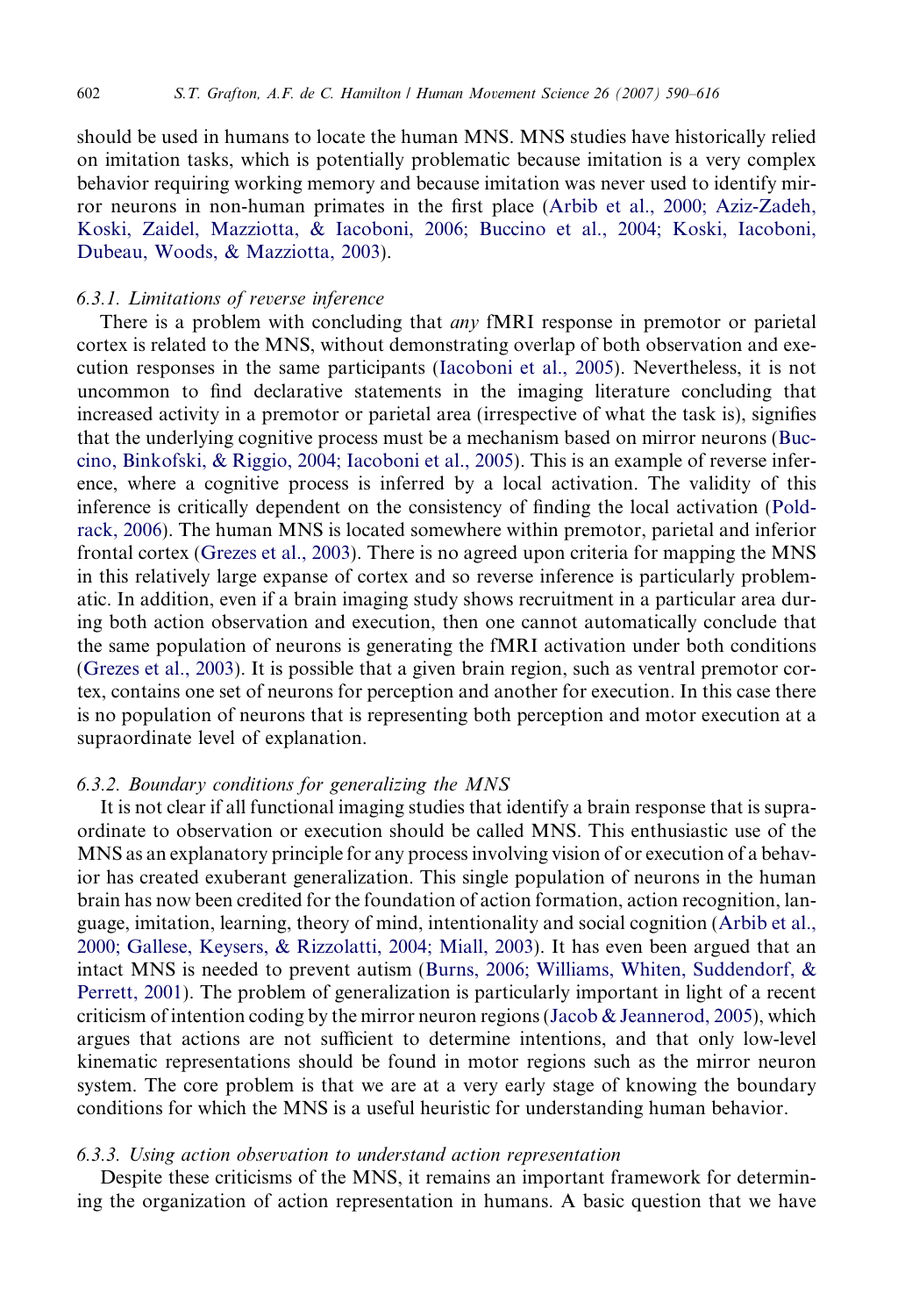should be used in humans to locate the human MNS. MNS studies have historically relied on imitation tasks, which is potentially problematic because imitation is a very complex behavior requiring working memory and because imitation was never used to identify mirror neurons in non-human primates in the first place [\(Arbib et al., 2000; Aziz-Zadeh,](#page-21-0) [Koski, Zaidel, Mazziotta, & Iacoboni, 2006; Buccino et al., 2004; Koski, Iacoboni,](#page-21-0) [Dubeau, Woods, & Mazziotta, 2003\)](#page-21-0).

# 6.3.1. Limitations of reverse inference

There is a problem with concluding that *any* fMRI response in premotor or parietal cortex is related to the MNS, without demonstrating overlap of both observation and execution responses in the same participants [\(Iacoboni et al., 2005](#page-23-0)). Nevertheless, it is not uncommon to find declarative statements in the imaging literature concluding that increased activity in a premotor or parietal area (irrespective of what the task is), signifies that the underlying cognitive process must be a mechanism based on mirror neurons [\(Buc](#page-21-0)[cino, Binkofski, & Riggio, 2004; Iacoboni et al., 2005\)](#page-21-0). This is an example of reverse inference, where a cognitive process is inferred by a local activation. The validity of this inference is critically dependent on the consistency of finding the local activation [\(Pold](#page-25-0)[rack, 2006\)](#page-25-0). The human MNS is located somewhere within premotor, parietal and inferior frontal cortex ([Grezes et al., 2003](#page-23-0)). There is no agreed upon criteria for mapping the MNS in this relatively large expanse of cortex and so reverse inference is particularly problematic. In addition, even if a brain imaging study shows recruitment in a particular area during both action observation and execution, then one cannot automatically conclude that the same population of neurons is generating the fMRI activation under both conditions [\(Grezes et al., 2003](#page-23-0)). It is possible that a given brain region, such as ventral premotor cortex, contains one set of neurons for perception and another for execution. In this case there is no population of neurons that is representing both perception and motor execution at a supraordinate level of explanation.

## 6.3.2. Boundary conditions for generalizing the MNS

It is not clear if all functional imaging studies that identify a brain response that is supraordinate to observation or execution should be called MNS. This enthusiastic use of the MNS as an explanatory principle for any process involving vision of or execution of a behavior has created exuberant generalization. This single population of neurons in the human brain has now been credited for the foundation of action formation, action recognition, language, imitation, learning, theory of mind, intentionality and social cognition ([Arbib et al.,](#page-21-0) [2000; Gallese, Keysers, & Rizzolatti, 2004; Miall, 2003\)](#page-21-0). It has even been argued that an intact MNS is needed to prevent autism ([Burns, 2006; Williams, Whiten, Suddendorf, &](#page-22-0) [Perrett, 2001](#page-22-0)). The problem of generalization is particularly important in light of a recent criticism of intention coding by the mirror neuron regions ([Jacob & Jeannerod, 2005](#page-24-0)), which argues that actions are not sufficient to determine intentions, and that only low-level kinematic representations should be found in motor regions such as the mirror neuron system. The core problem is that we are at a very early stage of knowing the boundary conditions for which the MNS is a useful heuristic for understanding human behavior.

## 6.3.3. Using action observation to understand action representation

Despite these criticisms of the MNS, it remains an important framework for determining the organization of action representation in humans. A basic question that we have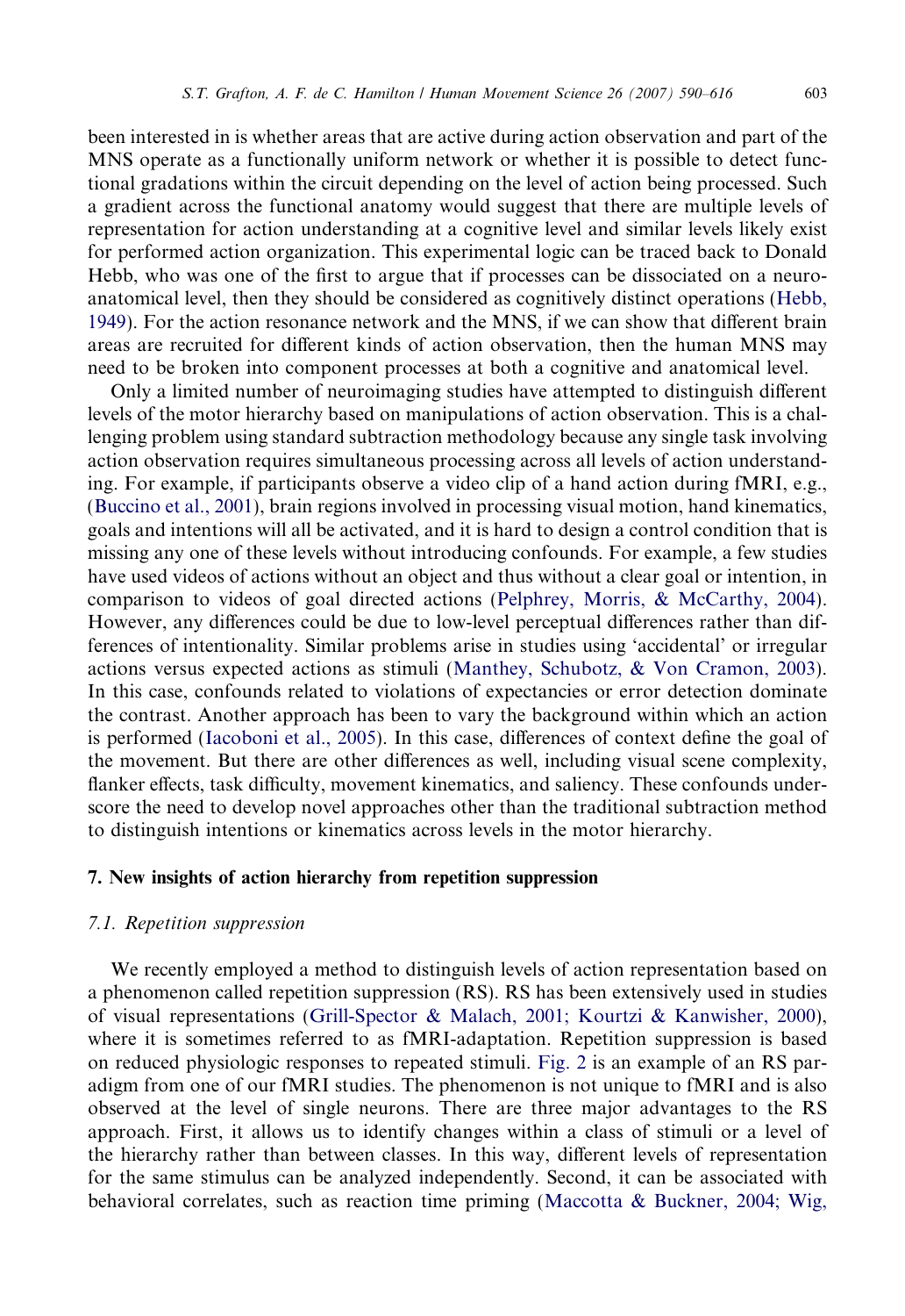been interested in is whether areas that are active during action observation and part of the MNS operate as a functionally uniform network or whether it is possible to detect functional gradations within the circuit depending on the level of action being processed. Such a gradient across the functional anatomy would suggest that there are multiple levels of representation for action understanding at a cognitive level and similar levels likely exist for performed action organization. This experimental logic can be traced back to Donald Hebb, who was one of the first to argue that if processes can be dissociated on a neuroanatomical level, then they should be considered as cognitively distinct operations ([Hebb,](#page-23-0) [1949](#page-23-0)). For the action resonance network and the MNS, if we can show that different brain areas are recruited for different kinds of action observation, then the human MNS may need to be broken into component processes at both a cognitive and anatomical level.

Only a limited number of neuroimaging studies have attempted to distinguish different levels of the motor hierarchy based on manipulations of action observation. This is a challenging problem using standard subtraction methodology because any single task involving action observation requires simultaneous processing across all levels of action understanding. For example, if participants observe a video clip of a hand action during fMRI, e.g., ([Buccino et al., 2001\)](#page-21-0), brain regions involved in processing visual motion, hand kinematics, goals and intentions will all be activated, and it is hard to design a control condition that is missing any one of these levels without introducing confounds. For example, a few studies have used videos of actions without an object and thus without a clear goal or intention, in comparison to videos of goal directed actions [\(Pelphrey, Morris, & McCarthy, 2004\)](#page-25-0). However, any differences could be due to low-level perceptual differences rather than differences of intentionality. Similar problems arise in studies using 'accidental' or irregular actions versus expected actions as stimuli [\(Manthey, Schubotz, & Von Cramon, 2003\)](#page-24-0). In this case, confounds related to violations of expectancies or error detection dominate the contrast. Another approach has been to vary the background within which an action is performed [\(Iacoboni et al., 2005\)](#page-23-0). In this case, differences of context define the goal of the movement. But there are other differences as well, including visual scene complexity, flanker effects, task difficulty, movement kinematics, and saliency. These confounds underscore the need to develop novel approaches other than the traditional subtraction method to distinguish intentions or kinematics across levels in the motor hierarchy.

# 7. New insights of action hierarchy from repetition suppression

#### 7.1. Repetition suppression

We recently employed a method to distinguish levels of action representation based on a phenomenon called repetition suppression (RS). RS has been extensively used in studies of visual representations [\(Grill-Spector & Malach, 2001; Kourtzi & Kanwisher, 2000\)](#page-23-0), where it is sometimes referred to as fMRI-adaptation. Repetition suppression is based on reduced physiologic responses to repeated stimuli. [Fig. 2](#page-14-0) is an example of an RS paradigm from one of our fMRI studies. The phenomenon is not unique to fMRI and is also observed at the level of single neurons. There are three major advantages to the RS approach. First, it allows us to identify changes within a class of stimuli or a level of the hierarchy rather than between classes. In this way, different levels of representation for the same stimulus can be analyzed independently. Second, it can be associated with behavioral correlates, such as reaction time priming [\(Maccotta & Buckner, 2004; Wig,](#page-24-0)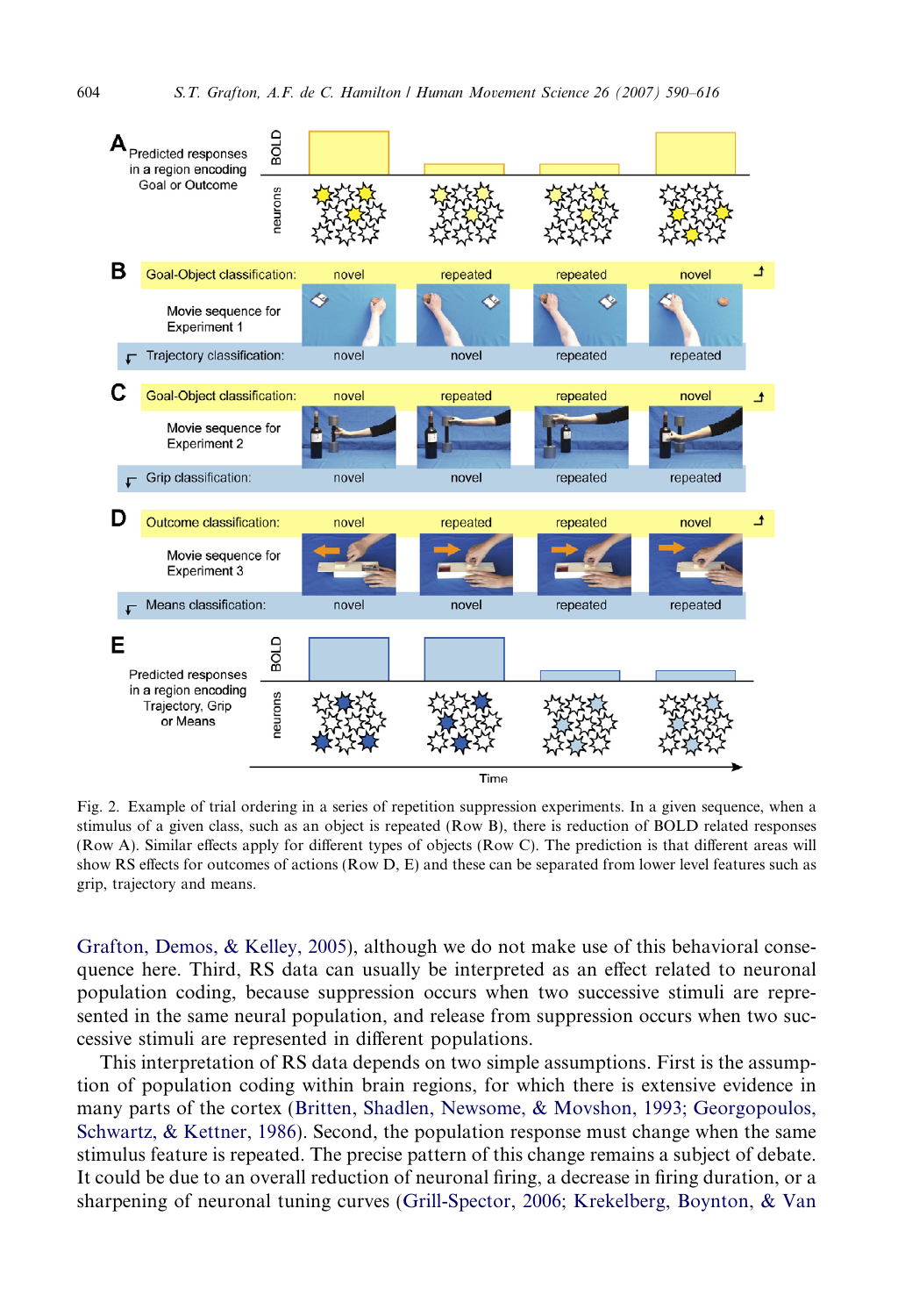<span id="page-14-0"></span>

Fig. 2. Example of trial ordering in a series of repetition suppression experiments. In a given sequence, when a stimulus of a given class, such as an object is repeated (Row B), there is reduction of BOLD related responses (Row A). Similar effects apply for different types of objects (Row C). The prediction is that different areas will show RS effects for outcomes of actions (Row D, E) and these can be separated from lower level features such as grip, trajectory and means.

[Grafton, Demos, & Kelley, 2005](#page-24-0)), although we do not make use of this behavioral consequence here. Third, RS data can usually be interpreted as an effect related to neuronal population coding, because suppression occurs when two successive stimuli are represented in the same neural population, and release from suppression occurs when two successive stimuli are represented in different populations.

This interpretation of RS data depends on two simple assumptions. First is the assumption of population coding within brain regions, for which there is extensive evidence in many parts of the cortex [\(Britten, Shadlen, Newsome, & Movshon, 1993; Georgopoulos,](#page-21-0) [Schwartz, & Kettner, 1986](#page-21-0)). Second, the population response must change when the same stimulus feature is repeated. The precise pattern of this change remains a subject of debate. It could be due to an overall reduction of neuronal firing, a decrease in firing duration, or a sharpening of neuronal tuning curves [\(Grill-Spector, 2006; Krekelberg, Boynton, & Van](#page-23-0)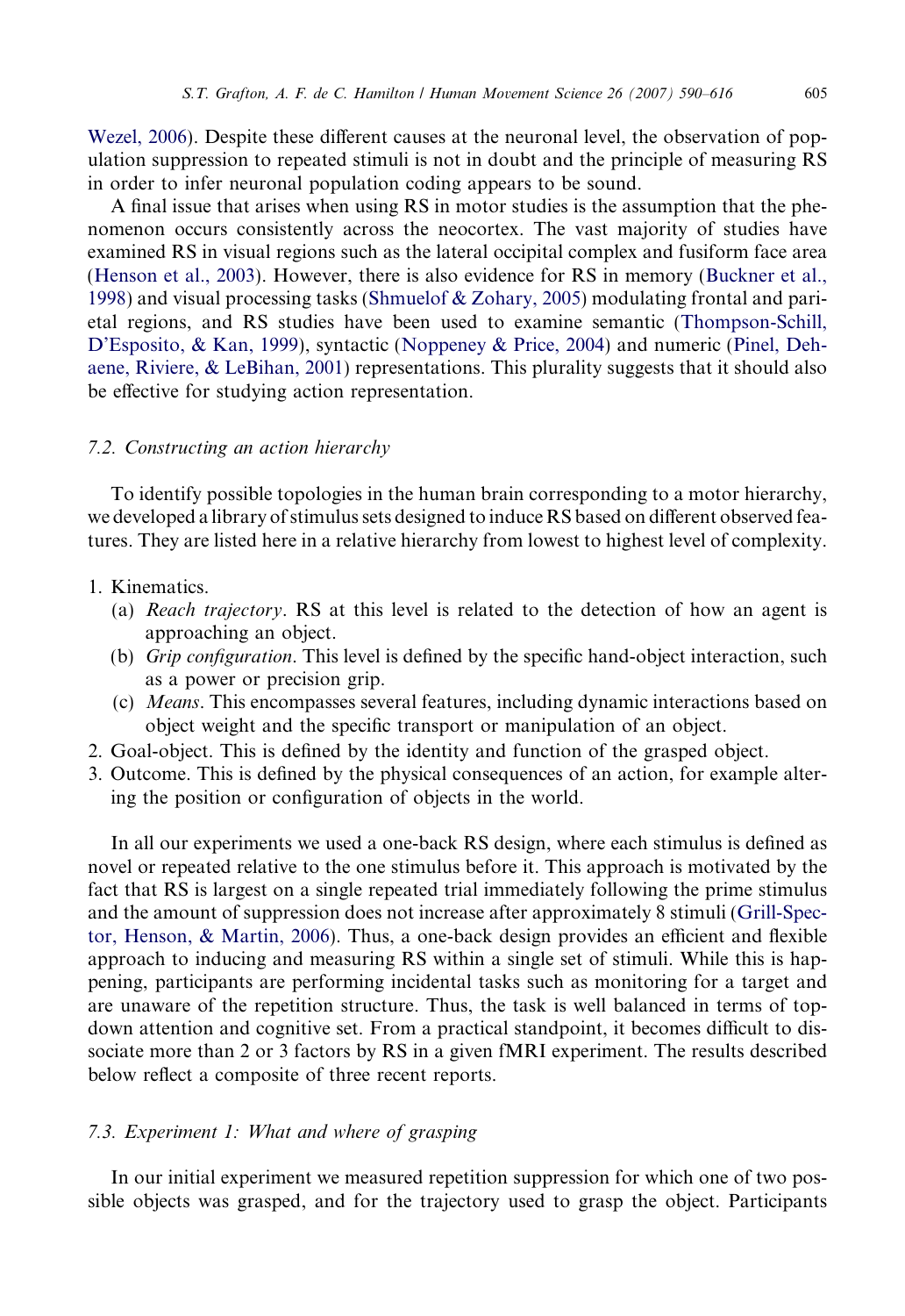[Wezel, 2006\)](#page-23-0). Despite these different causes at the neuronal level, the observation of population suppression to repeated stimuli is not in doubt and the principle of measuring RS in order to infer neuronal population coding appears to be sound.

A final issue that arises when using RS in motor studies is the assumption that the phenomenon occurs consistently across the neocortex. The vast majority of studies have examined RS in visual regions such as the lateral occipital complex and fusiform face area ([Henson et al., 2003\)](#page-23-0). However, there is also evidence for RS in memory ([Buckner et al.,](#page-22-0) [1998](#page-22-0)) and visual processing tasks ([Shmuelof & Zohary, 2005](#page-26-0)) modulating frontal and parietal regions, and RS studies have been used to examine semantic [\(Thompson-Schill,](#page-26-0) [D'Esposito, & Kan, 1999](#page-26-0)), syntactic ([Noppeney & Price, 2004\)](#page-25-0) and numeric [\(Pinel, Deh](#page-25-0)[aene, Riviere, & LeBihan, 2001\)](#page-25-0) representations. This plurality suggests that it should also be effective for studying action representation.

## 7.2. Constructing an action hierarchy

To identify possible topologies in the human brain corresponding to a motor hierarchy, we developed a library of stimulus sets designed to induce RS based on different observed features. They are listed here in a relative hierarchy from lowest to highest level of complexity.

# 1. Kinematics.

- (a) Reach trajectory. RS at this level is related to the detection of how an agent is approaching an object.
- (b) Grip configuration. This level is defined by the specific hand-object interaction, such as a power or precision grip.
- (c) Means. This encompasses several features, including dynamic interactions based on object weight and the specific transport or manipulation of an object.
- 2. Goal-object. This is defined by the identity and function of the grasped object.
- 3. Outcome. This is defined by the physical consequences of an action, for example altering the position or configuration of objects in the world.

In all our experiments we used a one-back RS design, where each stimulus is defined as novel or repeated relative to the one stimulus before it. This approach is motivated by the fact that RS is largest on a single repeated trial immediately following the prime stimulus and the amount of suppression does not increase after approximately 8 stimuli [\(Grill-Spec](#page-23-0)[tor, Henson, & Martin, 2006](#page-23-0)). Thus, a one-back design provides an efficient and flexible approach to inducing and measuring RS within a single set of stimuli. While this is happening, participants are performing incidental tasks such as monitoring for a target and are unaware of the repetition structure. Thus, the task is well balanced in terms of topdown attention and cognitive set. From a practical standpoint, it becomes difficult to dissociate more than 2 or 3 factors by RS in a given fMRI experiment. The results described below reflect a composite of three recent reports.

#### 7.3. Experiment 1: What and where of grasping

In our initial experiment we measured repetition suppression for which one of two possible objects was grasped, and for the trajectory used to grasp the object. Participants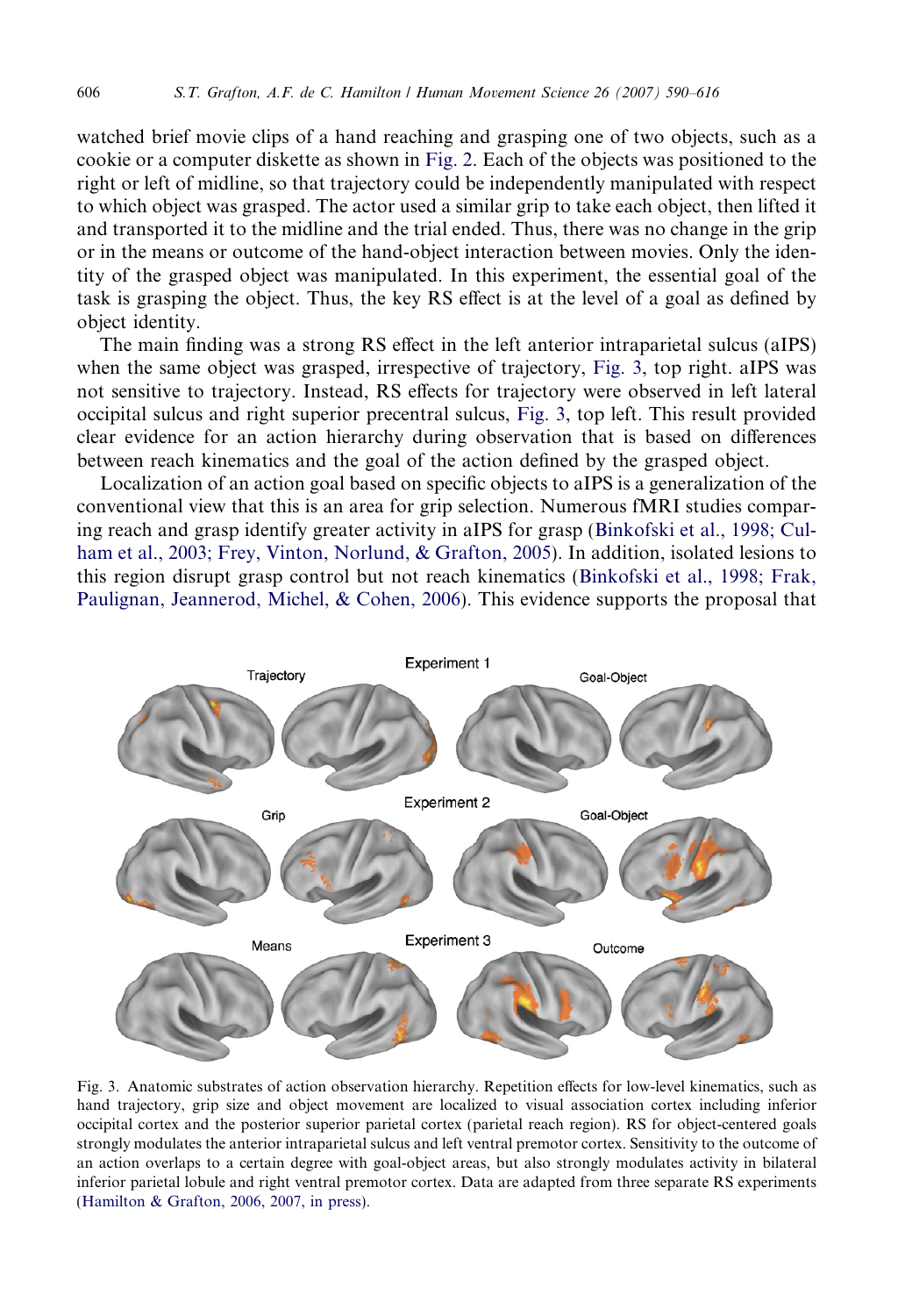<span id="page-16-0"></span>watched brief movie clips of a hand reaching and grasping one of two objects, such as a cookie or a computer diskette as shown in [Fig. 2](#page-14-0). Each of the objects was positioned to the right or left of midline, so that trajectory could be independently manipulated with respect to which object was grasped. The actor used a similar grip to take each object, then lifted it and transported it to the midline and the trial ended. Thus, there was no change in the grip or in the means or outcome of the hand-object interaction between movies. Only the identity of the grasped object was manipulated. In this experiment, the essential goal of the task is grasping the object. Thus, the key RS effect is at the level of a goal as defined by object identity.

The main finding was a strong RS effect in the left anterior intraparietal sulcus (aIPS) when the same object was grasped, irrespective of trajectory, Fig. 3, top right. aIPS was not sensitive to trajectory. Instead, RS effects for trajectory were observed in left lateral occipital sulcus and right superior precentral sulcus, Fig. 3, top left. This result provided clear evidence for an action hierarchy during observation that is based on differences between reach kinematics and the goal of the action defined by the grasped object.

Localization of an action goal based on specific objects to aIPS is a generalization of the conventional view that this is an area for grip selection. Numerous fMRI studies comparing reach and grasp identify greater activity in aIPS for grasp ([Binkofski et al., 1998; Cul](#page-21-0)[ham et al., 2003; Frey, Vinton, Norlund, & Grafton, 2005](#page-21-0)). In addition, isolated lesions to this region disrupt grasp control but not reach kinematics [\(Binkofski et al., 1998; Frak,](#page-21-0) [Paulignan, Jeannerod, Michel, & Cohen, 2006](#page-21-0)). This evidence supports the proposal that



Fig. 3. Anatomic substrates of action observation hierarchy. Repetition effects for low-level kinematics, such as hand trajectory, grip size and object movement are localized to visual association cortex including inferior occipital cortex and the posterior superior parietal cortex (parietal reach region). RS for object-centered goals strongly modulates the anterior intraparietal sulcus and left ventral premotor cortex. Sensitivity to the outcome of an action overlaps to a certain degree with goal-object areas, but also strongly modulates activity in bilateral inferior parietal lobule and right ventral premotor cortex. Data are adapted from three separate RS experiments [\(Hamilton & Grafton, 2006, 2007, in press\)](#page-23-0).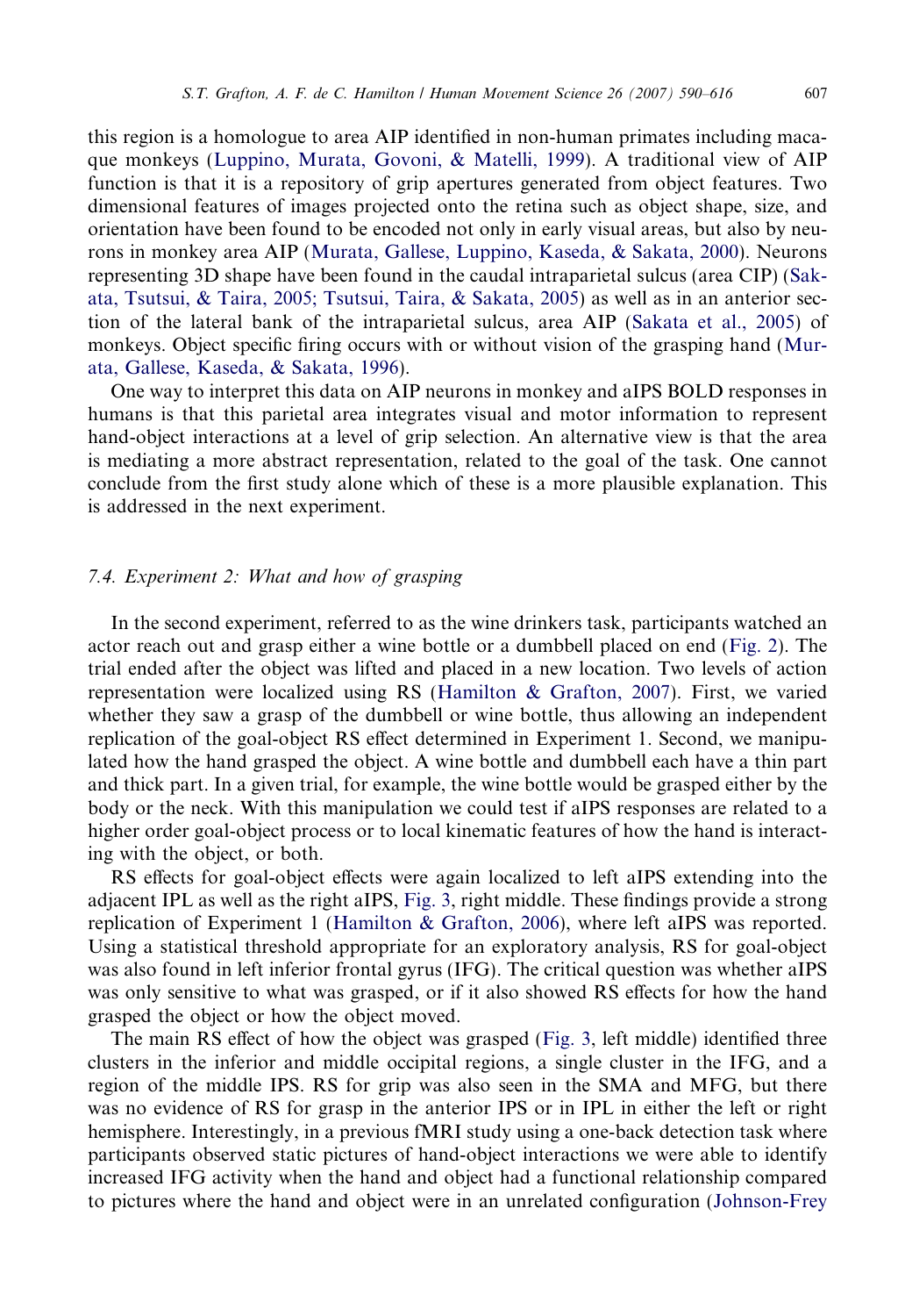this region is a homologue to area AIP identified in non-human primates including macaque monkeys [\(Luppino, Murata, Govoni, & Matelli, 1999](#page-24-0)). A traditional view of AIP function is that it is a repository of grip apertures generated from object features. Two dimensional features of images projected onto the retina such as object shape, size, and orientation have been found to be encoded not only in early visual areas, but also by neurons in monkey area AIP ([Murata, Gallese, Luppino, Kaseda, & Sakata, 2000](#page-25-0)). Neurons representing 3D shape have been found in the caudal intraparietal sulcus (area CIP) ([Sak](#page-26-0)[ata, Tsutsui, & Taira, 2005; Tsutsui, Taira, & Sakata, 2005](#page-26-0)) as well as in an anterior section of the lateral bank of the intraparietal sulcus, area AIP ([Sakata et al., 2005](#page-26-0)) of monkeys. Object specific firing occurs with or without vision of the grasping hand [\(Mur](#page-25-0)[ata, Gallese, Kaseda, & Sakata, 1996](#page-25-0)).

One way to interpret this data on AIP neurons in monkey and aIPS BOLD responses in humans is that this parietal area integrates visual and motor information to represent hand-object interactions at a level of grip selection. An alternative view is that the area is mediating a more abstract representation, related to the goal of the task. One cannot conclude from the first study alone which of these is a more plausible explanation. This is addressed in the next experiment.

# 7.4. Experiment 2: What and how of grasping

In the second experiment, referred to as the wine drinkers task, participants watched an actor reach out and grasp either a wine bottle or a dumbbell placed on end ([Fig. 2](#page-14-0)). The trial ended after the object was lifted and placed in a new location. Two levels of action representation were localized using RS [\(Hamilton & Grafton, 2007\)](#page-23-0). First, we varied whether they saw a grasp of the dumbbell or wine bottle, thus allowing an independent replication of the goal-object RS effect determined in Experiment 1. Second, we manipulated how the hand grasped the object. A wine bottle and dumbbell each have a thin part and thick part. In a given trial, for example, the wine bottle would be grasped either by the body or the neck. With this manipulation we could test if aIPS responses are related to a higher order goal-object process or to local kinematic features of how the hand is interacting with the object, or both.

RS effects for goal-object effects were again localized to left aIPS extending into the adjacent IPL as well as the right aIPS, [Fig. 3](#page-16-0), right middle. These findings provide a strong replication of Experiment 1 [\(Hamilton & Grafton, 2006](#page-23-0)), where left aIPS was reported. Using a statistical threshold appropriate for an exploratory analysis, RS for goal-object was also found in left inferior frontal gyrus (IFG). The critical question was whether aIPS was only sensitive to what was grasped, or if it also showed RS effects for how the hand grasped the object or how the object moved.

The main RS effect of how the object was grasped [\(Fig. 3,](#page-16-0) left middle) identified three clusters in the inferior and middle occipital regions, a single cluster in the IFG, and a region of the middle IPS. RS for grip was also seen in the SMA and MFG, but there was no evidence of RS for grasp in the anterior IPS or in IPL in either the left or right hemisphere. Interestingly, in a previous fMRI study using a one-back detection task where participants observed static pictures of hand-object interactions we were able to identify increased IFG activity when the hand and object had a functional relationship compared to pictures where the hand and object were in an unrelated configuration ([Johnson-Frey](#page-24-0)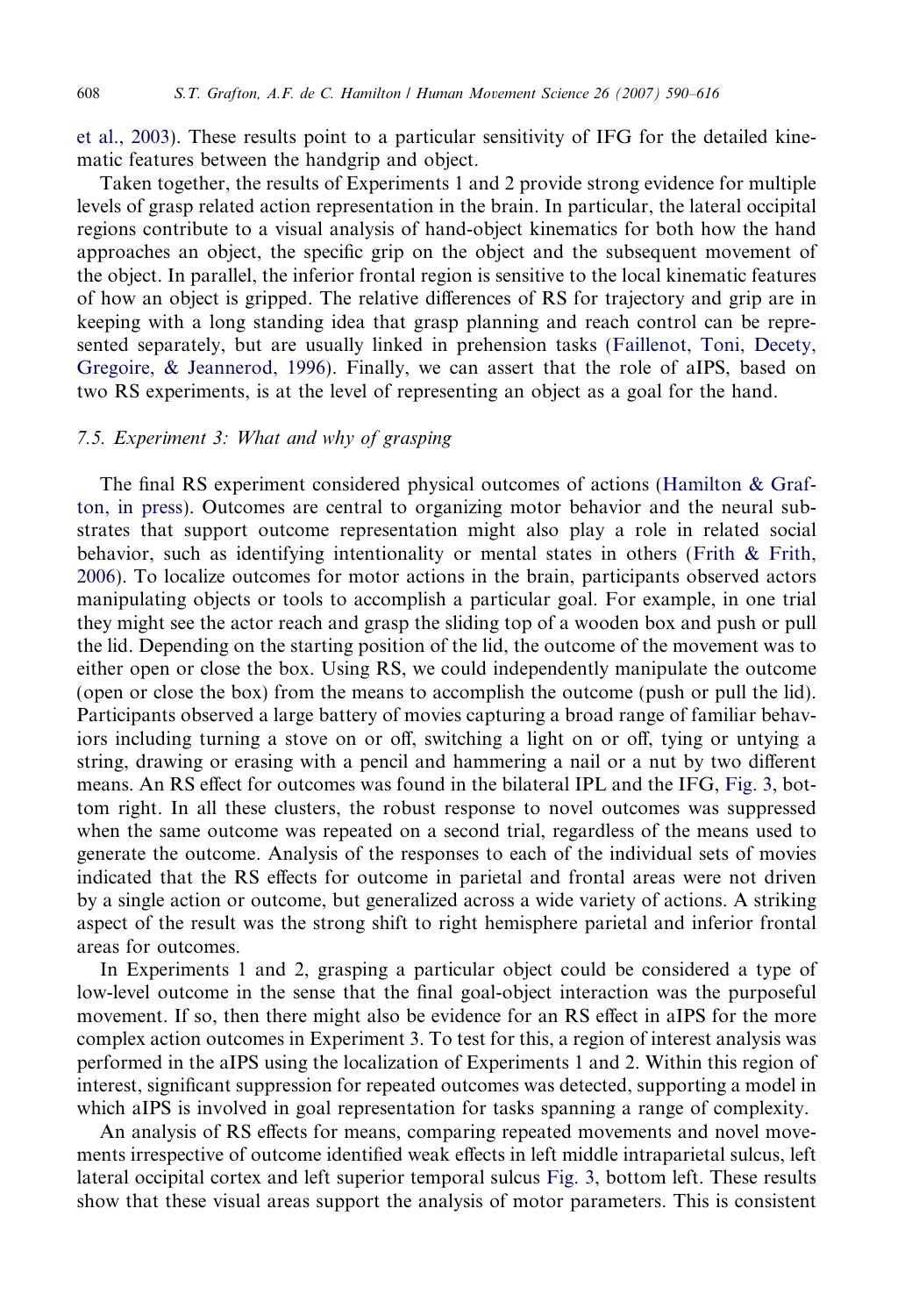[et al., 2003\)](#page-24-0). These results point to a particular sensitivity of IFG for the detailed kinematic features between the handgrip and object.

Taken together, the results of Experiments 1 and 2 provide strong evidence for multiple levels of grasp related action representation in the brain. In particular, the lateral occipital regions contribute to a visual analysis of hand-object kinematics for both how the hand approaches an object, the specific grip on the object and the subsequent movement of the object. In parallel, the inferior frontal region is sensitive to the local kinematic features of how an object is gripped. The relative differences of RS for trajectory and grip are in keeping with a long standing idea that grasp planning and reach control can be represented separately, but are usually linked in prehension tasks ([Faillenot, Toni, Decety,](#page-22-0) [Gregoire, & Jeannerod, 1996](#page-22-0)). Finally, we can assert that the role of aIPS, based on two RS experiments, is at the level of representing an object as a goal for the hand.

# 7.5. Experiment 3: What and why of grasping

The final RS experiment considered physical outcomes of actions ([Hamilton & Graf](#page-23-0)[ton, in press\)](#page-23-0). Outcomes are central to organizing motor behavior and the neural substrates that support outcome representation might also play a role in related social behavior, such as identifying intentionality or mental states in others [\(Frith & Frith,](#page-22-0) [2006\)](#page-22-0). To localize outcomes for motor actions in the brain, participants observed actors manipulating objects or tools to accomplish a particular goal. For example, in one trial they might see the actor reach and grasp the sliding top of a wooden box and push or pull the lid. Depending on the starting position of the lid, the outcome of the movement was to either open or close the box. Using RS, we could independently manipulate the outcome (open or close the box) from the means to accomplish the outcome (push or pull the lid). Participants observed a large battery of movies capturing a broad range of familiar behaviors including turning a stove on or off, switching a light on or off, tying or untying a string, drawing or erasing with a pencil and hammering a nail or a nut by two different means. An RS effect for outcomes was found in the bilateral IPL and the IFG, [Fig. 3](#page-16-0), bottom right. In all these clusters, the robust response to novel outcomes was suppressed when the same outcome was repeated on a second trial, regardless of the means used to generate the outcome. Analysis of the responses to each of the individual sets of movies indicated that the RS effects for outcome in parietal and frontal areas were not driven by a single action or outcome, but generalized across a wide variety of actions. A striking aspect of the result was the strong shift to right hemisphere parietal and inferior frontal areas for outcomes.

In Experiments 1 and 2, grasping a particular object could be considered a type of low-level outcome in the sense that the final goal-object interaction was the purposeful movement. If so, then there might also be evidence for an RS effect in aIPS for the more complex action outcomes in Experiment 3. To test for this, a region of interest analysis was performed in the aIPS using the localization of Experiments 1 and 2. Within this region of interest, significant suppression for repeated outcomes was detected, supporting a model in which aIPS is involved in goal representation for tasks spanning a range of complexity.

An analysis of RS effects for means, comparing repeated movements and novel movements irrespective of outcome identified weak effects in left middle intraparietal sulcus, left lateral occipital cortex and left superior temporal sulcus [Fig. 3,](#page-16-0) bottom left. These results show that these visual areas support the analysis of motor parameters. This is consistent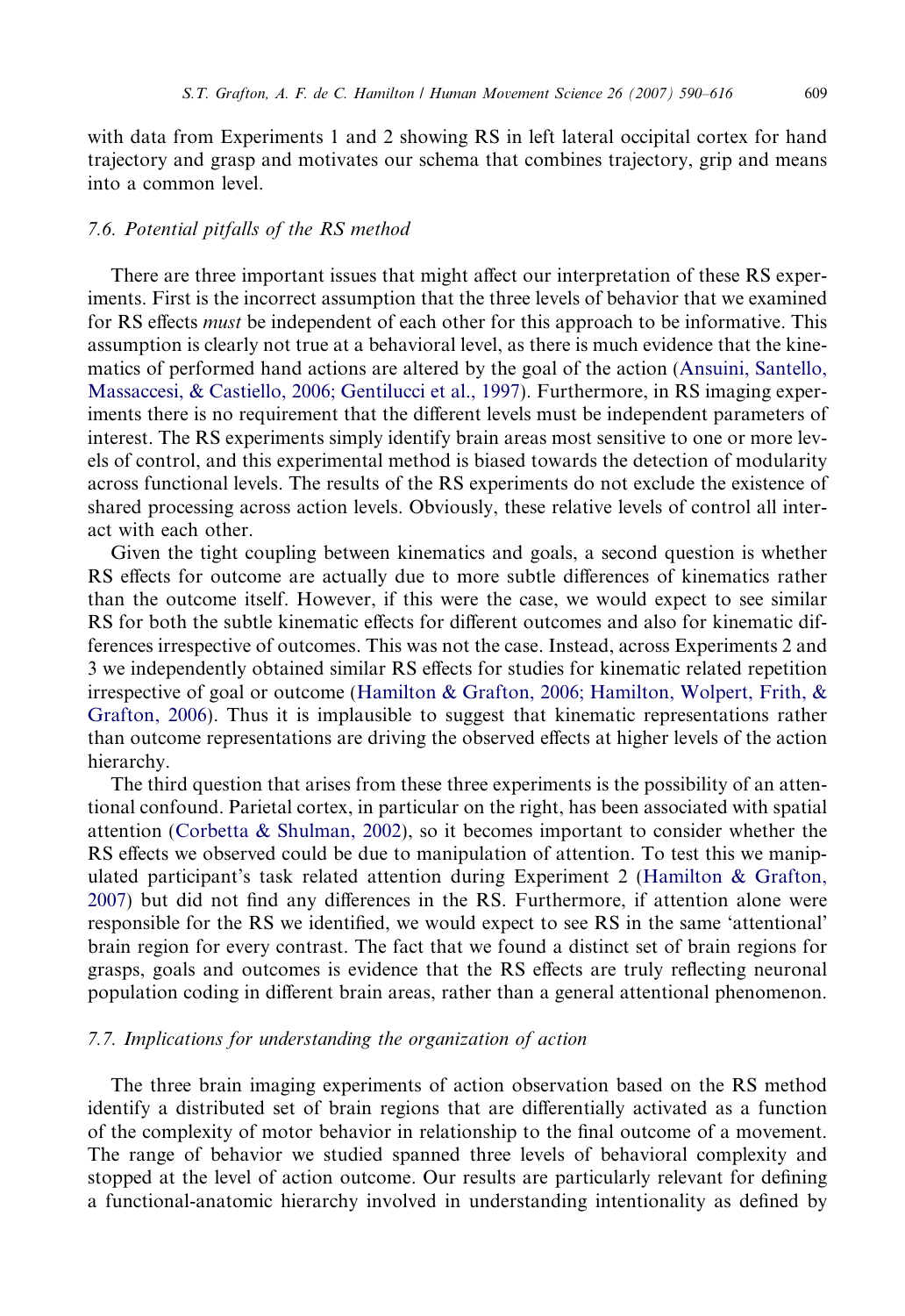with data from Experiments 1 and 2 showing RS in left lateral occipital cortex for hand trajectory and grasp and motivates our schema that combines trajectory, grip and means into a common level.

# 7.6. Potential pitfalls of the RS method

There are three important issues that might affect our interpretation of these RS experiments. First is the incorrect assumption that the three levels of behavior that we examined for RS effects *must* be independent of each other for this approach to be informative. This assumption is clearly not true at a behavioral level, as there is much evidence that the kinematics of performed hand actions are altered by the goal of the action [\(Ansuini, Santello,](#page-21-0) [Massaccesi, & Castiello, 2006; Gentilucci et al., 1997\)](#page-21-0). Furthermore, in RS imaging experiments there is no requirement that the different levels must be independent parameters of interest. The RS experiments simply identify brain areas most sensitive to one or more levels of control, and this experimental method is biased towards the detection of modularity across functional levels. The results of the RS experiments do not exclude the existence of shared processing across action levels. Obviously, these relative levels of control all interact with each other.

Given the tight coupling between kinematics and goals, a second question is whether RS effects for outcome are actually due to more subtle differences of kinematics rather than the outcome itself. However, if this were the case, we would expect to see similar RS for both the subtle kinematic effects for different outcomes and also for kinematic differences irrespective of outcomes. This was not the case. Instead, across Experiments 2 and 3 we independently obtained similar RS effects for studies for kinematic related repetition irrespective of goal or outcome ([Hamilton & Grafton, 2006; Hamilton, Wolpert, Frith, &](#page-23-0) [Grafton, 2006](#page-23-0)). Thus it is implausible to suggest that kinematic representations rather than outcome representations are driving the observed effects at higher levels of the action hierarchy.

The third question that arises from these three experiments is the possibility of an attentional confound. Parietal cortex, in particular on the right, has been associated with spatial attention ([Corbetta & Shulman, 2002\)](#page-22-0), so it becomes important to consider whether the RS effects we observed could be due to manipulation of attention. To test this we manipulated participant's task related attention during Experiment 2 ([Hamilton & Grafton,](#page-23-0) [2007](#page-23-0)) but did not find any differences in the RS. Furthermore, if attention alone were responsible for the RS we identified, we would expect to see RS in the same 'attentional' brain region for every contrast. The fact that we found a distinct set of brain regions for grasps, goals and outcomes is evidence that the RS effects are truly reflecting neuronal population coding in different brain areas, rather than a general attentional phenomenon.

## 7.7. Implications for understanding the organization of action

The three brain imaging experiments of action observation based on the RS method identify a distributed set of brain regions that are differentially activated as a function of the complexity of motor behavior in relationship to the final outcome of a movement. The range of behavior we studied spanned three levels of behavioral complexity and stopped at the level of action outcome. Our results are particularly relevant for defining a functional-anatomic hierarchy involved in understanding intentionality as defined by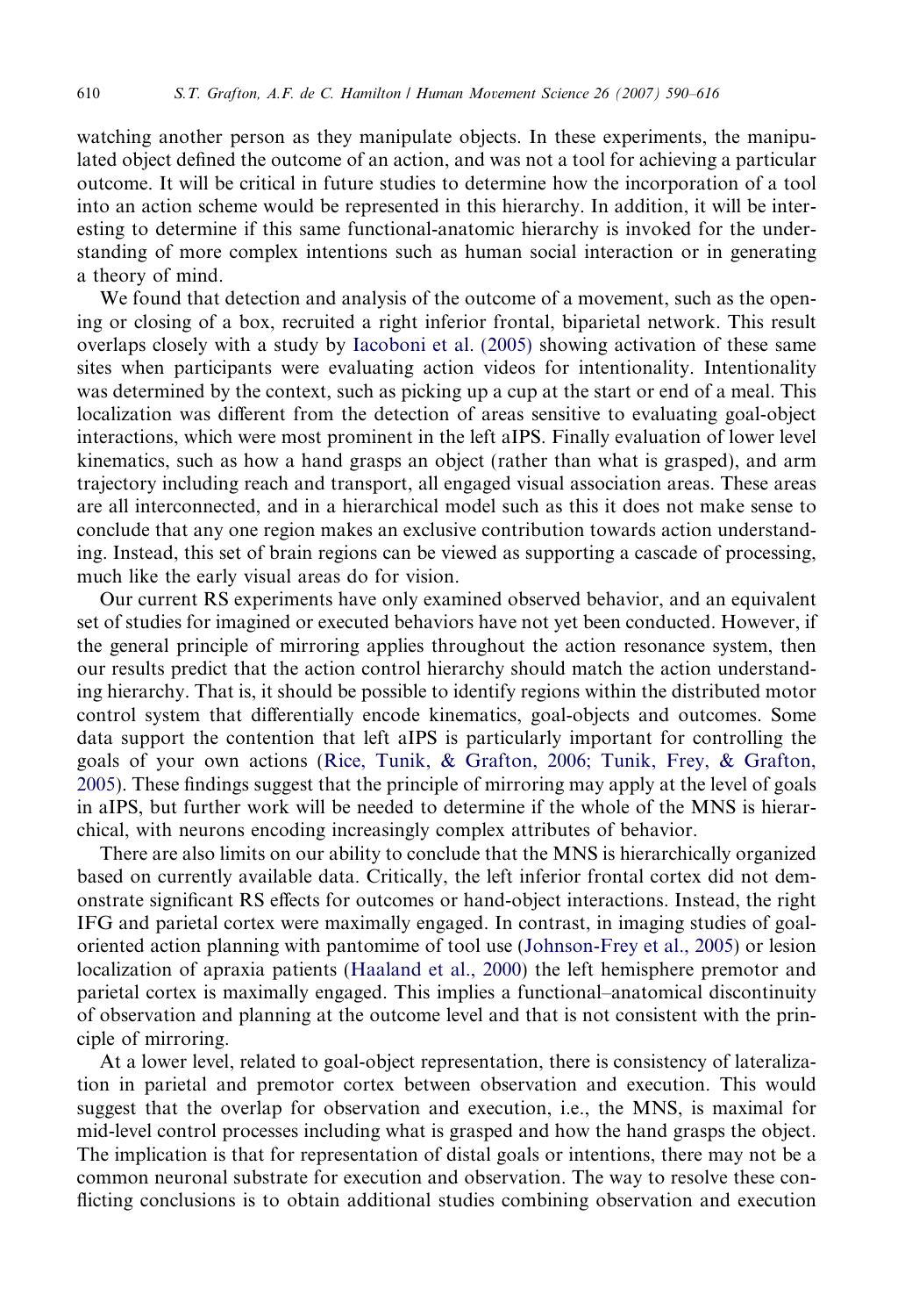watching another person as they manipulate objects. In these experiments, the manipulated object defined the outcome of an action, and was not a tool for achieving a particular outcome. It will be critical in future studies to determine how the incorporation of a tool into an action scheme would be represented in this hierarchy. In addition, it will be interesting to determine if this same functional-anatomic hierarchy is invoked for the understanding of more complex intentions such as human social interaction or in generating a theory of mind.

We found that detection and analysis of the outcome of a movement, such as the opening or closing of a box, recruited a right inferior frontal, biparietal network. This result overlaps closely with a study by [Iacoboni et al. \(2005\)](#page-23-0) showing activation of these same sites when participants were evaluating action videos for intentionality. Intentionality was determined by the context, such as picking up a cup at the start or end of a meal. This localization was different from the detection of areas sensitive to evaluating goal-object interactions, which were most prominent in the left aIPS. Finally evaluation of lower level kinematics, such as how a hand grasps an object (rather than what is grasped), and arm trajectory including reach and transport, all engaged visual association areas. These areas are all interconnected, and in a hierarchical model such as this it does not make sense to conclude that any one region makes an exclusive contribution towards action understanding. Instead, this set of brain regions can be viewed as supporting a cascade of processing, much like the early visual areas do for vision.

Our current RS experiments have only examined observed behavior, and an equivalent set of studies for imagined or executed behaviors have not yet been conducted. However, if the general principle of mirroring applies throughout the action resonance system, then our results predict that the action control hierarchy should match the action understanding hierarchy. That is, it should be possible to identify regions within the distributed motor control system that differentially encode kinematics, goal-objects and outcomes. Some data support the contention that left aIPS is particularly important for controlling the goals of your own actions [\(Rice, Tunik, & Grafton, 2006; Tunik, Frey, & Grafton,](#page-25-0) [2005\)](#page-25-0). These findings suggest that the principle of mirroring may apply at the level of goals in aIPS, but further work will be needed to determine if the whole of the MNS is hierarchical, with neurons encoding increasingly complex attributes of behavior.

There are also limits on our ability to conclude that the MNS is hierarchically organized based on currently available data. Critically, the left inferior frontal cortex did not demonstrate significant RS effects for outcomes or hand-object interactions. Instead, the right IFG and parietal cortex were maximally engaged. In contrast, in imaging studies of goaloriented action planning with pantomime of tool use [\(Johnson-Frey et al., 2005](#page-24-0)) or lesion localization of apraxia patients [\(Haaland et al., 2000\)](#page-23-0) the left hemisphere premotor and parietal cortex is maximally engaged. This implies a functional–anatomical discontinuity of observation and planning at the outcome level and that is not consistent with the principle of mirroring.

At a lower level, related to goal-object representation, there is consistency of lateralization in parietal and premotor cortex between observation and execution. This would suggest that the overlap for observation and execution, i.e., the MNS, is maximal for mid-level control processes including what is grasped and how the hand grasps the object. The implication is that for representation of distal goals or intentions, there may not be a common neuronal substrate for execution and observation. The way to resolve these conflicting conclusions is to obtain additional studies combining observation and execution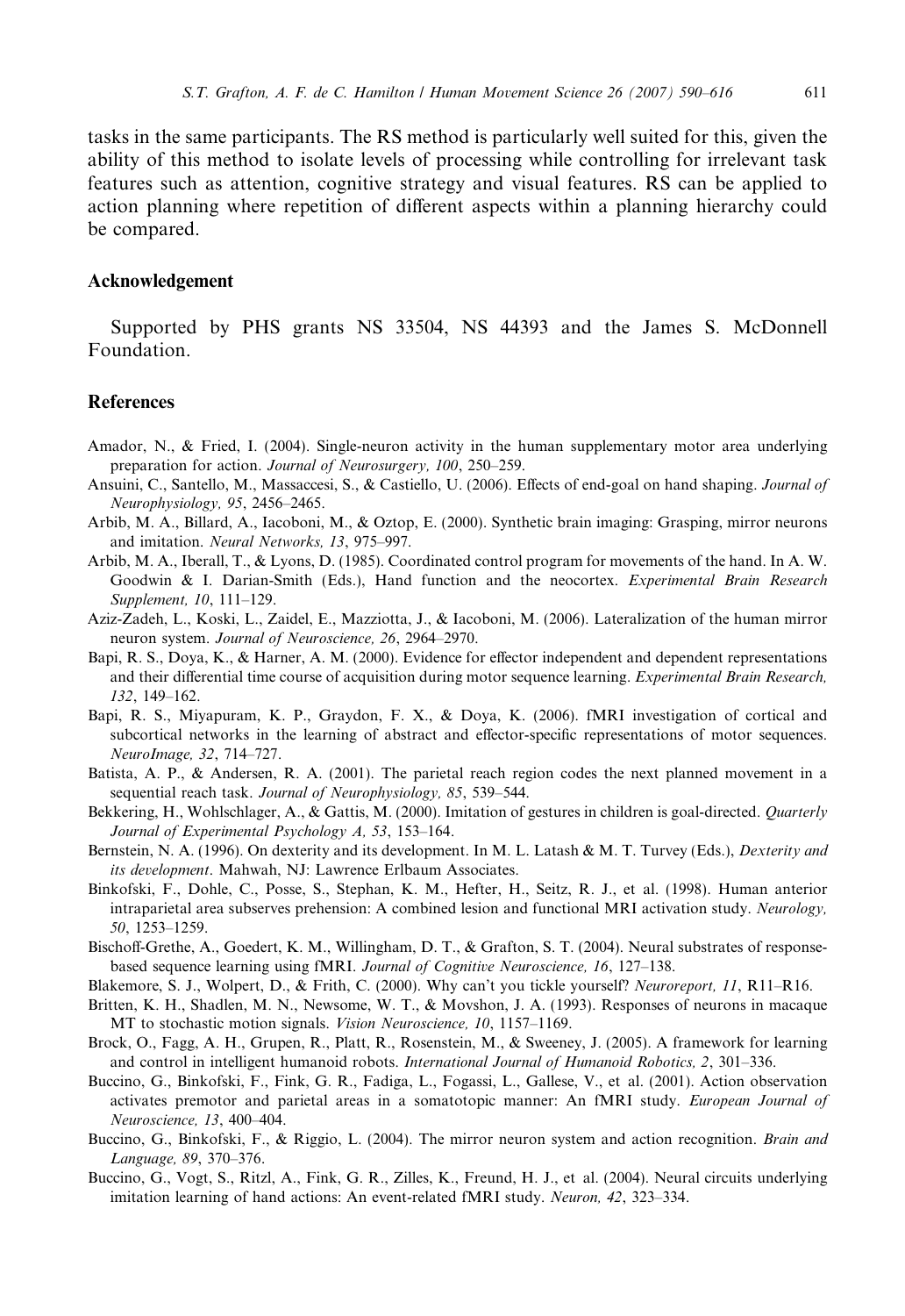<span id="page-21-0"></span>tasks in the same participants. The RS method is particularly well suited for this, given the ability of this method to isolate levels of processing while controlling for irrelevant task features such as attention, cognitive strategy and visual features. RS can be applied to action planning where repetition of different aspects within a planning hierarchy could be compared.

#### Acknowledgement

Supported by PHS grants NS 33504, NS 44393 and the James S. McDonnell Foundation.

#### **References**

- Amador, N., & Fried, I. (2004). Single-neuron activity in the human supplementary motor area underlying preparation for action. Journal of Neurosurgery, 100, 250–259.
- Ansuini, C., Santello, M., Massaccesi, S., & Castiello, U. (2006). Effects of end-goal on hand shaping. Journal of Neurophysiology, 95, 2456–2465.
- Arbib, M. A., Billard, A., Iacoboni, M., & Oztop, E. (2000). Synthetic brain imaging: Grasping, mirror neurons and imitation. Neural Networks, 13, 975–997.
- Arbib, M. A., Iberall, T., & Lyons, D. (1985). Coordinated control program for movements of the hand. In A. W. Goodwin & I. Darian-Smith (Eds.), Hand function and the neocortex. Experimental Brain Research Supplement, 10, 111–129.
- Aziz-Zadeh, L., Koski, L., Zaidel, E., Mazziotta, J., & Iacoboni, M. (2006). Lateralization of the human mirror neuron system. Journal of Neuroscience, 26, 2964–2970.
- Bapi, R. S., Doya, K., & Harner, A. M. (2000). Evidence for effector independent and dependent representations and their differential time course of acquisition during motor sequence learning. Experimental Brain Research, 132, 149–162.
- Bapi, R. S., Miyapuram, K. P., Graydon, F. X., & Doya, K. (2006). fMRI investigation of cortical and subcortical networks in the learning of abstract and effector-specific representations of motor sequences. NeuroImage, 32, 714–727.
- Batista, A. P., & Andersen, R. A. (2001). The parietal reach region codes the next planned movement in a sequential reach task. Journal of Neurophysiology, 85, 539–544.
- Bekkering, H., Wohlschlager, A., & Gattis, M. (2000). Imitation of gestures in children is goal-directed. Quarterly Journal of Experimental Psychology A, 53, 153–164.
- Bernstein, N. A. (1996). On dexterity and its development. In M. L. Latash & M. T. Turvey (Eds.), *Dexterity and* its development. Mahwah, NJ: Lawrence Erlbaum Associates.
- Binkofski, F., Dohle, C., Posse, S., Stephan, K. M., Hefter, H., Seitz, R. J., et al. (1998). Human anterior intraparietal area subserves prehension: A combined lesion and functional MRI activation study. Neurology, 50, 1253–1259.
- Bischoff-Grethe, A., Goedert, K. M., Willingham, D. T., & Grafton, S. T. (2004). Neural substrates of responsebased sequence learning using fMRI. Journal of Cognitive Neuroscience, 16, 127–138.
- Blakemore, S. J., Wolpert, D., & Frith, C. (2000). Why can't you tickle yourself? Neuroreport, 11, R11–R16.
- Britten, K. H., Shadlen, M. N., Newsome, W. T., & Movshon, J. A. (1993). Responses of neurons in macaque MT to stochastic motion signals. Vision Neuroscience, 10, 1157–1169.
- Brock, O., Fagg, A. H., Grupen, R., Platt, R., Rosenstein, M., & Sweeney, J. (2005). A framework for learning and control in intelligent humanoid robots. International Journal of Humanoid Robotics, 2, 301–336.
- Buccino, G., Binkofski, F., Fink, G. R., Fadiga, L., Fogassi, L., Gallese, V., et al. (2001). Action observation activates premotor and parietal areas in a somatotopic manner: An fMRI study. European Journal of Neuroscience, 13, 400–404.
- Buccino, G., Binkofski, F., & Riggio, L. (2004). The mirror neuron system and action recognition. Brain and Language, 89, 370–376.
- Buccino, G., Vogt, S., Ritzl, A., Fink, G. R., Zilles, K., Freund, H. J., et al. (2004). Neural circuits underlying imitation learning of hand actions: An event-related fMRI study. Neuron, 42, 323–334.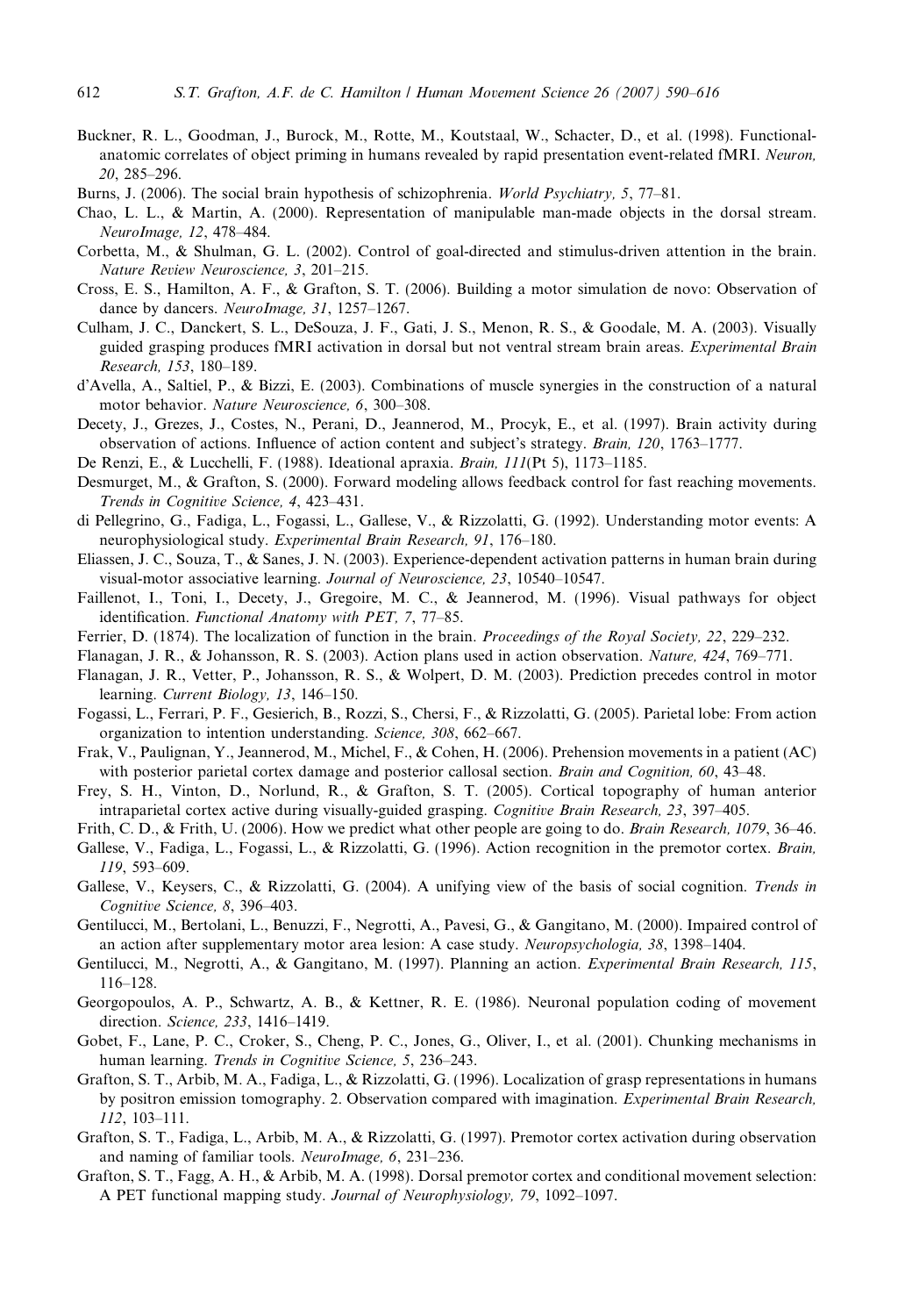- <span id="page-22-0"></span>Buckner, R. L., Goodman, J., Burock, M., Rotte, M., Koutstaal, W., Schacter, D., et al. (1998). Functionalanatomic correlates of object priming in humans revealed by rapid presentation event-related fMRI. Neuron, 20, 285–296.
- Burns, J. (2006). The social brain hypothesis of schizophrenia. World Psychiatry, 5, 77–81.
- Chao, L. L., & Martin, A. (2000). Representation of manipulable man-made objects in the dorsal stream. NeuroImage, 12, 478–484.
- Corbetta, M., & Shulman, G. L. (2002). Control of goal-directed and stimulus-driven attention in the brain. Nature Review Neuroscience, 3, 201–215.
- Cross, E. S., Hamilton, A. F., & Grafton, S. T. (2006). Building a motor simulation de novo: Observation of dance by dancers. NeuroImage, 31, 1257-1267.
- Culham, J. C., Danckert, S. L., DeSouza, J. F., Gati, J. S., Menon, R. S., & Goodale, M. A. (2003). Visually guided grasping produces fMRI activation in dorsal but not ventral stream brain areas. Experimental Brain Research, 153, 180–189.
- d'Avella, A., Saltiel, P., & Bizzi, E. (2003). Combinations of muscle synergies in the construction of a natural motor behavior. Nature Neuroscience, 6, 300–308.
- Decety, J., Grezes, J., Costes, N., Perani, D., Jeannerod, M., Procyk, E., et al. (1997). Brain activity during observation of actions. Influence of action content and subject's strategy. Brain, 120, 1763–1777.
- De Renzi, E., & Lucchelli, F. (1988). Ideational apraxia. Brain, 111(Pt 5), 1173–1185.
- Desmurget, M., & Grafton, S. (2000). Forward modeling allows feedback control for fast reaching movements. Trends in Cognitive Science, 4, 423–431.
- di Pellegrino, G., Fadiga, L., Fogassi, L., Gallese, V., & Rizzolatti, G. (1992). Understanding motor events: A neurophysiological study. Experimental Brain Research, 91, 176–180.
- Eliassen, J. C., Souza, T., & Sanes, J. N. (2003). Experience-dependent activation patterns in human brain during visual-motor associative learning. Journal of Neuroscience, 23, 10540-10547.
- Faillenot, I., Toni, I., Decety, J., Gregoire, M. C., & Jeannerod, M. (1996). Visual pathways for object identification. Functional Anatomy with PET, 7, 77–85.
- Ferrier, D. (1874). The localization of function in the brain. *Proceedings of the Royal Society*, 22, 229–232.
- Flanagan, J. R., & Johansson, R. S. (2003). Action plans used in action observation. Nature, 424, 769–771.
- Flanagan, J. R., Vetter, P., Johansson, R. S., & Wolpert, D. M. (2003). Prediction precedes control in motor learning. Current Biology, 13, 146-150.
- Fogassi, L., Ferrari, P. F., Gesierich, B., Rozzi, S., Chersi, F., & Rizzolatti, G. (2005). Parietal lobe: From action organization to intention understanding. Science, 308, 662–667.
- Frak, V., Paulignan, Y., Jeannerod, M., Michel, F., & Cohen, H. (2006). Prehension movements in a patient (AC) with posterior parietal cortex damage and posterior callosal section. Brain and Cognition, 60, 43–48.
- Frey, S. H., Vinton, D., Norlund, R., & Grafton, S. T. (2005). Cortical topography of human anterior intraparietal cortex active during visually-guided grasping. Cognitive Brain Research, 23, 397–405.
- Frith, C. D., & Frith, U. (2006). How we predict what other people are going to do. Brain Research, 1079, 36-46.
- Gallese, V., Fadiga, L., Fogassi, L., & Rizzolatti, G. (1996). Action recognition in the premotor cortex. Brain, 119, 593–609.
- Gallese, V., Keysers, C., & Rizzolatti, G. (2004). A unifying view of the basis of social cognition. Trends in Cognitive Science, 8, 396–403.
- Gentilucci, M., Bertolani, L., Benuzzi, F., Negrotti, A., Pavesi, G., & Gangitano, M. (2000). Impaired control of an action after supplementary motor area lesion: A case study. Neuropsychologia, 38, 1398–1404.
- Gentilucci, M., Negrotti, A., & Gangitano, M. (1997). Planning an action. Experimental Brain Research, 115, 116–128.
- Georgopoulos, A. P., Schwartz, A. B., & Kettner, R. E. (1986). Neuronal population coding of movement direction. Science, 233, 1416–1419.
- Gobet, F., Lane, P. C., Croker, S., Cheng, P. C., Jones, G., Oliver, I., et al. (2001). Chunking mechanisms in human learning. Trends in Cognitive Science, 5, 236–243.
- Grafton, S. T., Arbib, M. A., Fadiga, L., & Rizzolatti, G. (1996). Localization of grasp representations in humans by positron emission tomography. 2. Observation compared with imagination. *Experimental Brain Research*, 112, 103–111.
- Grafton, S. T., Fadiga, L., Arbib, M. A., & Rizzolatti, G. (1997). Premotor cortex activation during observation and naming of familiar tools. NeuroImage, 6, 231–236.
- Grafton, S. T., Fagg, A. H., & Arbib, M. A. (1998). Dorsal premotor cortex and conditional movement selection: A PET functional mapping study. Journal of Neurophysiology, 79, 1092–1097.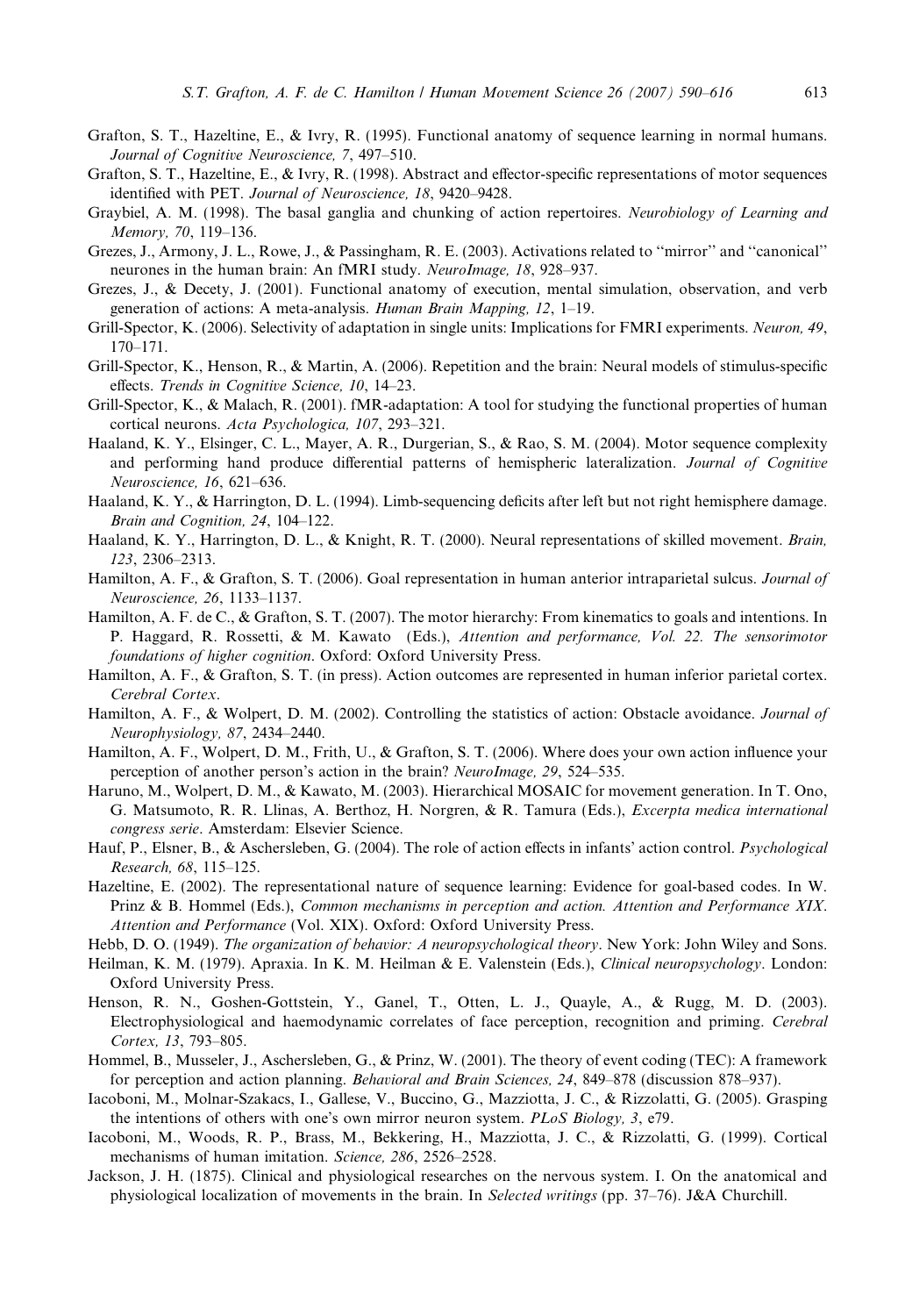- <span id="page-23-0"></span>Grafton, S. T., Hazeltine, E., & Ivry, R. (1995). Functional anatomy of sequence learning in normal humans. Journal of Cognitive Neuroscience, 7, 497–510.
- Grafton, S. T., Hazeltine, E., & Ivry, R. (1998). Abstract and effector-specific representations of motor sequences identified with PET. Journal of Neuroscience, 18, 9420–9428.
- Graybiel, A. M. (1998). The basal ganglia and chunking of action repertoires. Neurobiology of Learning and Memory, 70, 119–136.
- Grezes, J., Armony, J. L., Rowe, J., & Passingham, R. E. (2003). Activations related to ''mirror'' and ''canonical'' neurones in the human brain: An fMRI study. *NeuroImage*, 18, 928–937.
- Grezes, J., & Decety, J. (2001). Functional anatomy of execution, mental simulation, observation, and verb generation of actions: A meta-analysis. Human Brain Mapping, 12, 1–19.
- Grill-Spector, K. (2006). Selectivity of adaptation in single units: Implications for FMRI experiments. Neuron, 49, 170–171.
- Grill-Spector, K., Henson, R., & Martin, A. (2006). Repetition and the brain: Neural models of stimulus-specific effects. Trends in Cognitive Science, 10, 14–23.
- Grill-Spector, K., & Malach, R. (2001). fMR-adaptation: A tool for studying the functional properties of human cortical neurons. Acta Psychologica, 107, 293–321.
- Haaland, K. Y., Elsinger, C. L., Mayer, A. R., Durgerian, S., & Rao, S. M. (2004). Motor sequence complexity and performing hand produce differential patterns of hemispheric lateralization. Journal of Cognitive Neuroscience, 16, 621–636.
- Haaland, K. Y., & Harrington, D. L. (1994). Limb-sequencing deficits after left but not right hemisphere damage. Brain and Cognition, 24, 104–122.
- Haaland, K. Y., Harrington, D. L., & Knight, R. T. (2000). Neural representations of skilled movement. Brain, 123, 2306–2313.
- Hamilton, A. F., & Grafton, S. T. (2006). Goal representation in human anterior intraparietal sulcus. *Journal of* Neuroscience, 26, 1133–1137.
- Hamilton, A. F. de C., & Grafton, S. T. (2007). The motor hierarchy: From kinematics to goals and intentions. In P. Haggard, R. Rossetti, & M. Kawato (Eds.), Attention and performance, Vol. 22. The sensorimotor foundations of higher cognition. Oxford: Oxford University Press.
- Hamilton, A. F., & Grafton, S. T. (in press). Action outcomes are represented in human inferior parietal cortex. Cerebral Cortex.
- Hamilton, A. F., & Wolpert, D. M. (2002). Controlling the statistics of action: Obstacle avoidance. Journal of Neurophysiology, 87, 2434–2440.
- Hamilton, A. F., Wolpert, D. M., Frith, U., & Grafton, S. T. (2006). Where does your own action influence your perception of another person's action in the brain? NeuroImage, 29, 524–535.
- Haruno, M., Wolpert, D. M., & Kawato, M. (2003). Hierarchical MOSAIC for movement generation. In T. Ono, G. Matsumoto, R. R. Llinas, A. Berthoz, H. Norgren, & R. Tamura (Eds.), Excerpta medica international congress serie. Amsterdam: Elsevier Science.
- Hauf, P., Elsner, B., & Aschersleben, G. (2004). The role of action effects in infants' action control. Psychological Research, 68, 115–125.
- Hazeltine, E. (2002). The representational nature of sequence learning: Evidence for goal-based codes. In W. Prinz & B. Hommel (Eds.), Common mechanisms in perception and action. Attention and Performance XIX. Attention and Performance (Vol. XIX). Oxford: Oxford University Press.
- Hebb, D. O. (1949). The organization of behavior: A neuropsychological theory. New York: John Wiley and Sons.
- Heilman, K. M. (1979). Apraxia. In K. M. Heilman & E. Valenstein (Eds.), Clinical neuropsychology. London: Oxford University Press.
- Henson, R. N., Goshen-Gottstein, Y., Ganel, T., Otten, L. J., Quayle, A., & Rugg, M. D. (2003). Electrophysiological and haemodynamic correlates of face perception, recognition and priming. Cerebral Cortex, 13, 793–805.
- Hommel, B., Musseler, J., Aschersleben, G., & Prinz, W. (2001). The theory of event coding (TEC): A framework for perception and action planning. Behavioral and Brain Sciences, 24, 849–878 (discussion 878–937).
- Iacoboni, M., Molnar-Szakacs, I., Gallese, V., Buccino, G., Mazziotta, J. C., & Rizzolatti, G. (2005). Grasping the intentions of others with one's own mirror neuron system. PLoS Biology, 3, e79.
- Iacoboni, M., Woods, R. P., Brass, M., Bekkering, H., Mazziotta, J. C., & Rizzolatti, G. (1999). Cortical mechanisms of human imitation. Science, 286, 2526–2528.
- Jackson, J. H. (1875). Clinical and physiological researches on the nervous system. I. On the anatomical and physiological localization of movements in the brain. In Selected writings (pp. 37–76). J&A Churchill.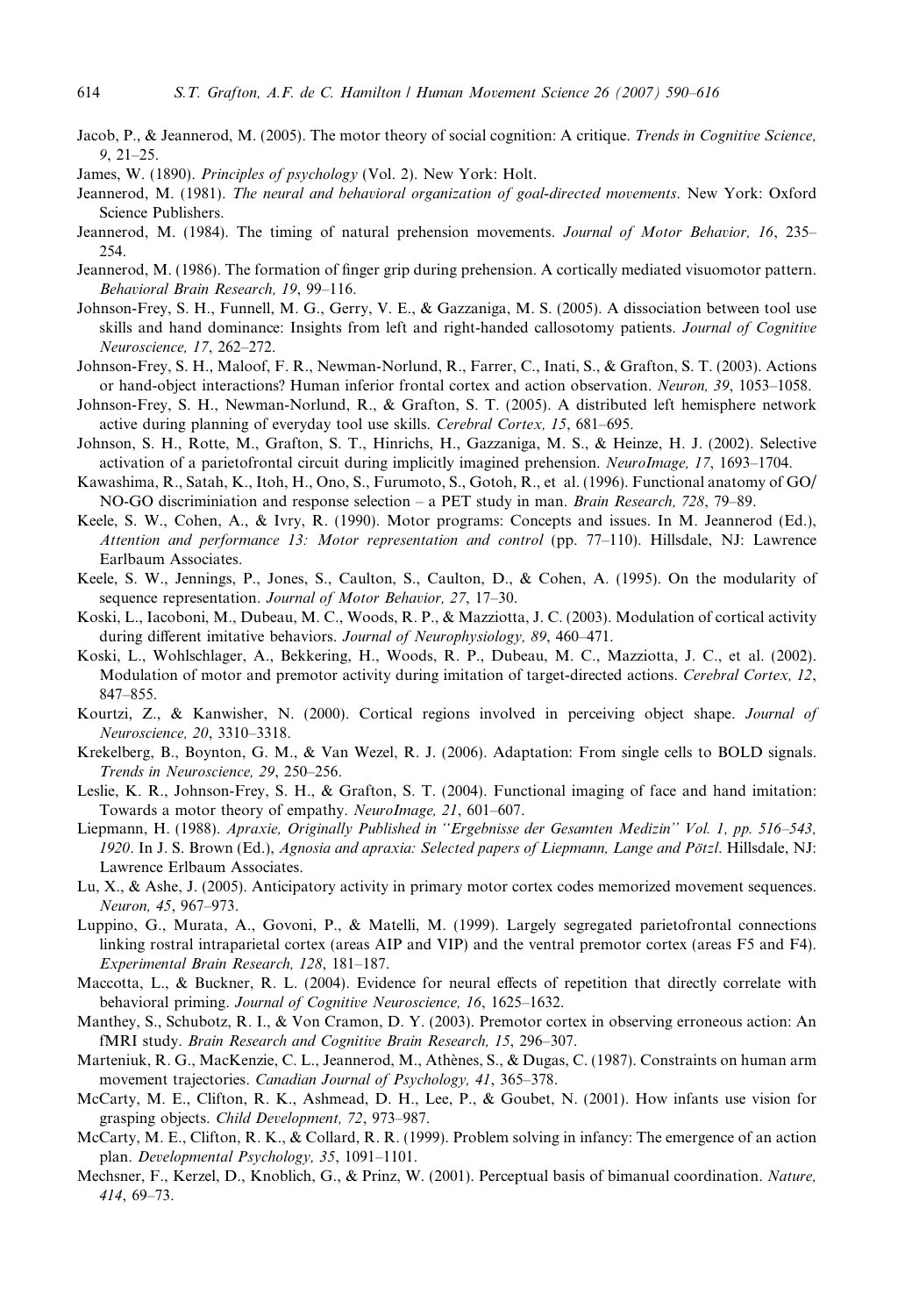- <span id="page-24-0"></span>Jacob, P., & Jeannerod, M. (2005). The motor theory of social cognition: A critique. Trends in Cognitive Science, 9, 21–25.
- James, W. (1890). Principles of psychology (Vol. 2). New York: Holt.
- Jeannerod, M. (1981). The neural and behavioral organization of goal-directed movements. New York: Oxford Science Publishers.
- Jeannerod, M. (1984). The timing of natural prehension movements. Journal of Motor Behavior, 16, 235– 254.
- Jeannerod, M. (1986). The formation of finger grip during prehension. A cortically mediated visuomotor pattern. Behavioral Brain Research, 19, 99–116.
- Johnson-Frey, S. H., Funnell, M. G., Gerry, V. E., & Gazzaniga, M. S. (2005). A dissociation between tool use skills and hand dominance: Insights from left and right-handed callosotomy patients. Journal of Cognitive Neuroscience, 17, 262–272.
- Johnson-Frey, S. H., Maloof, F. R., Newman-Norlund, R., Farrer, C., Inati, S., & Grafton, S. T. (2003). Actions or hand-object interactions? Human inferior frontal cortex and action observation. Neuron, 39, 1053–1058.
- Johnson-Frey, S. H., Newman-Norlund, R., & Grafton, S. T. (2005). A distributed left hemisphere network active during planning of everyday tool use skills. Cerebral Cortex, 15, 681–695.
- Johnson, S. H., Rotte, M., Grafton, S. T., Hinrichs, H., Gazzaniga, M. S., & Heinze, H. J. (2002). Selective activation of a parietofrontal circuit during implicitly imagined prehension. NeuroImage, 17, 1693-1704.
- Kawashima, R., Satah, K., Itoh, H., Ono, S., Furumoto, S., Gotoh, R., et al. (1996). Functional anatomy of GO/ NO-GO discriminiation and response selection – a PET study in man. Brain Research, 728, 79–89.
- Keele, S. W., Cohen, A., & Ivry, R. (1990). Motor programs: Concepts and issues. In M. Jeannerod (Ed.), Attention and performance 13: Motor representation and control (pp. 77–110). Hillsdale, NJ: Lawrence Earlbaum Associates.
- Keele, S. W., Jennings, P., Jones, S., Caulton, S., Caulton, D., & Cohen, A. (1995). On the modularity of sequence representation. Journal of Motor Behavior, 27, 17-30.
- Koski, L., Iacoboni, M., Dubeau, M. C., Woods, R. P., & Mazziotta, J. C. (2003). Modulation of cortical activity during different imitative behaviors. Journal of Neurophysiology, 89, 460–471.
- Koski, L., Wohlschlager, A., Bekkering, H., Woods, R. P., Dubeau, M. C., Mazziotta, J. C., et al. (2002). Modulation of motor and premotor activity during imitation of target-directed actions. Cerebral Cortex, 12, 847–855.
- Kourtzi, Z., & Kanwisher, N. (2000). Cortical regions involved in perceiving object shape. Journal of Neuroscience, 20, 3310–3318.
- Krekelberg, B., Boynton, G. M., & Van Wezel, R. J. (2006). Adaptation: From single cells to BOLD signals. Trends in Neuroscience, 29, 250–256.
- Leslie, K. R., Johnson-Frey, S. H., & Grafton, S. T. (2004). Functional imaging of face and hand imitation: Towards a motor theory of empathy. NeuroImage, 21, 601–607.
- Liepmann, H. (1988). Apraxie, Originally Published in ''Ergebnisse der Gesamten Medizin'' Vol. 1, pp. 516–543, 1920. In J. S. Brown (Ed.), Agnosia and apraxia: Selected papers of Liepmann, Lange and Pötzl. Hillsdale, NJ: Lawrence Erlbaum Associates.
- Lu, X., & Ashe, J. (2005). Anticipatory activity in primary motor cortex codes memorized movement sequences. Neuron, 45, 967–973.
- Luppino, G., Murata, A., Govoni, P., & Matelli, M. (1999). Largely segregated parietofrontal connections linking rostral intraparietal cortex (areas AIP and VIP) and the ventral premotor cortex (areas F5 and F4). Experimental Brain Research, 128, 181–187.
- Maccotta, L., & Buckner, R. L. (2004). Evidence for neural effects of repetition that directly correlate with behavioral priming. Journal of Cognitive Neuroscience, 16, 1625–1632.
- Manthey, S., Schubotz, R. I., & Von Cramon, D. Y. (2003). Premotor cortex in observing erroneous action: An fMRI study. Brain Research and Cognitive Brain Research, 15, 296–307.
- Marteniuk, R. G., MacKenzie, C. L., Jeannerod, M., Athènes, S., & Dugas, C. (1987). Constraints on human arm movement trajectories. Canadian Journal of Psychology, 41, 365-378.
- McCarty, M. E., Clifton, R. K., Ashmead, D. H., Lee, P., & Goubet, N. (2001). How infants use vision for grasping objects. Child Development, 72, 973–987.
- McCarty, M. E., Clifton, R. K., & Collard, R. R. (1999). Problem solving in infancy: The emergence of an action plan. Developmental Psychology, 35, 1091–1101.
- Mechsner, F., Kerzel, D., Knoblich, G., & Prinz, W. (2001). Perceptual basis of bimanual coordination. Nature, 414, 69–73.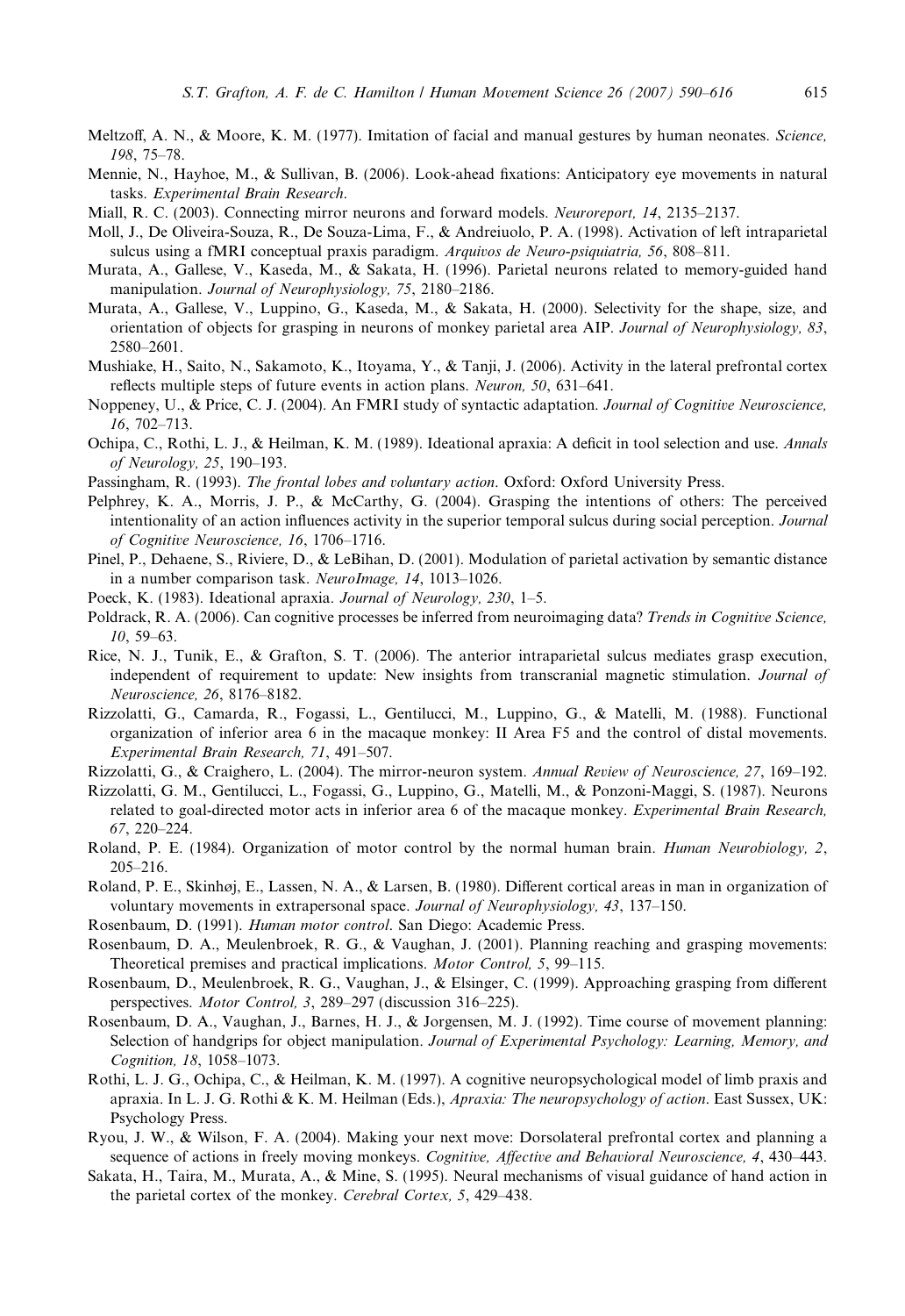- <span id="page-25-0"></span>Meltzoff, A. N., & Moore, K. M. (1977). Imitation of facial and manual gestures by human neonates. Science, 198, 75–78.
- Mennie, N., Hayhoe, M., & Sullivan, B. (2006). Look-ahead fixations: Anticipatory eye movements in natural tasks. Experimental Brain Research.
- Miall, R. C. (2003). Connecting mirror neurons and forward models. Neuroreport, 14, 2135–2137.
- Moll, J., De Oliveira-Souza, R., De Souza-Lima, F., & Andreiuolo, P. A. (1998). Activation of left intraparietal sulcus using a fMRI conceptual praxis paradigm. Arquivos de Neuro-psiquiatria, 56, 808–811.
- Murata, A., Gallese, V., Kaseda, M., & Sakata, H. (1996). Parietal neurons related to memory-guided hand manipulation. Journal of Neurophysiology, 75, 2180–2186.
- Murata, A., Gallese, V., Luppino, G., Kaseda, M., & Sakata, H. (2000). Selectivity for the shape, size, and orientation of objects for grasping in neurons of monkey parietal area AIP. Journal of Neurophysiology, 83, 2580–2601.
- Mushiake, H., Saito, N., Sakamoto, K., Itoyama, Y., & Tanji, J. (2006). Activity in the lateral prefrontal cortex reflects multiple steps of future events in action plans. Neuron, 50, 631–641.
- Noppeney, U., & Price, C. J. (2004). An FMRI study of syntactic adaptation. Journal of Cognitive Neuroscience, 16, 702–713.
- Ochipa, C., Rothi, L. J., & Heilman, K. M. (1989). Ideational apraxia: A deficit in tool selection and use. Annals of Neurology, 25, 190–193.
- Passingham, R. (1993). The frontal lobes and voluntary action. Oxford: Oxford University Press.
- Pelphrey, K. A., Morris, J. P., & McCarthy, G. (2004). Grasping the intentions of others: The perceived intentionality of an action influences activity in the superior temporal sulcus during social perception. Journal of Cognitive Neuroscience, 16, 1706–1716.
- Pinel, P., Dehaene, S., Riviere, D., & LeBihan, D. (2001). Modulation of parietal activation by semantic distance in a number comparison task. NeuroImage, 14, 1013–1026.
- Poeck, K. (1983). Ideational apraxia. Journal of Neurology, 230, 1–5.
- Poldrack, R. A. (2006). Can cognitive processes be inferred from neuroimaging data? Trends in Cognitive Science, 10, 59–63.
- Rice, N. J., Tunik, E., & Grafton, S. T. (2006). The anterior intraparietal sulcus mediates grasp execution, independent of requirement to update: New insights from transcranial magnetic stimulation. Journal of Neuroscience, 26, 8176–8182.
- Rizzolatti, G., Camarda, R., Fogassi, L., Gentilucci, M., Luppino, G., & Matelli, M. (1988). Functional organization of inferior area 6 in the macaque monkey: II Area F5 and the control of distal movements. Experimental Brain Research, 71, 491–507.

Rizzolatti, G., & Craighero, L. (2004). The mirror-neuron system. Annual Review of Neuroscience, 27, 169–192.

- Rizzolatti, G. M., Gentilucci, L., Fogassi, G., Luppino, G., Matelli, M., & Ponzoni-Maggi, S. (1987). Neurons related to goal-directed motor acts in inferior area 6 of the macaque monkey. Experimental Brain Research, 67, 220–224.
- Roland, P. E. (1984). Organization of motor control by the normal human brain. Human Neurobiology, 2, 205–216.
- Roland, P. E., Skinhøj, E., Lassen, N. A., & Larsen, B. (1980). Different cortical areas in man in organization of voluntary movements in extrapersonal space. Journal of Neurophysiology, 43, 137–150.
- Rosenbaum, D. (1991). Human motor control. San Diego: Academic Press.
- Rosenbaum, D. A., Meulenbroek, R. G., & Vaughan, J. (2001). Planning reaching and grasping movements: Theoretical premises and practical implications. Motor Control, 5, 99–115.
- Rosenbaum, D., Meulenbroek, R. G., Vaughan, J., & Elsinger, C. (1999). Approaching grasping from different perspectives. Motor Control, 3, 289–297 (discussion 316–225).
- Rosenbaum, D. A., Vaughan, J., Barnes, H. J., & Jorgensen, M. J. (1992). Time course of movement planning: Selection of handgrips for object manipulation. Journal of Experimental Psychology: Learning, Memory, and Cognition, 18, 1058–1073.
- Rothi, L. J. G., Ochipa, C., & Heilman, K. M. (1997). A cognitive neuropsychological model of limb praxis and apraxia. In L. J. G. Rothi & K. M. Heilman (Eds.), Apraxia: The neuropsychology of action. East Sussex, UK: Psychology Press.
- Ryou, J. W., & Wilson, F. A. (2004). Making your next move: Dorsolateral prefrontal cortex and planning a sequence of actions in freely moving monkeys. Cognitive, Affective and Behavioral Neuroscience, 4, 430–443.
- Sakata, H., Taira, M., Murata, A., & Mine, S. (1995). Neural mechanisms of visual guidance of hand action in the parietal cortex of the monkey. Cerebral Cortex, 5, 429–438.